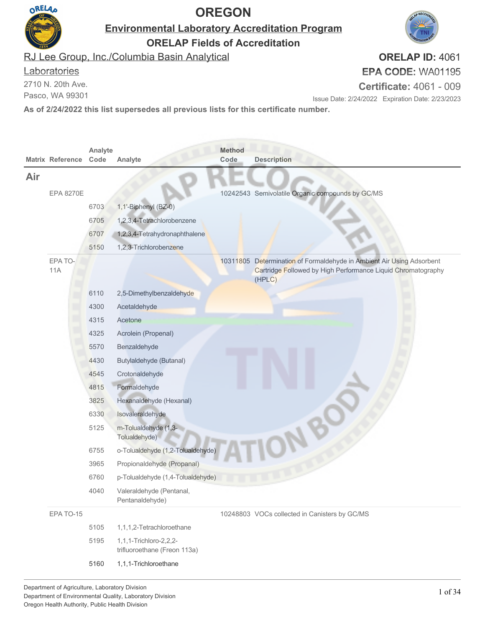

**Environmental Laboratory Accreditation Program ORELAP Fields of Accreditation**

**ORELAP ID:** 4061

RJ Lee Group, Inc./Columbia Basin Analytical

#### **Laboratories**

2710 N. 20th Ave.

Pasco, WA 99301

**EPA CODE:** WA01195

**Certificate:** 4061 - 009

Issue Date: 2/24/2022 Expiration Date: 2/23/2023

|     | <b>Matrix Reference</b> | Analyte<br>Code | Analyte                                                    | <b>Method</b><br>Code | <b>Description</b>                                                                                                                              |
|-----|-------------------------|-----------------|------------------------------------------------------------|-----------------------|-------------------------------------------------------------------------------------------------------------------------------------------------|
| Air |                         |                 |                                                            |                       |                                                                                                                                                 |
|     | <b>EPA 8270E</b>        |                 |                                                            |                       | 10242543 Semivolatile Organic compounds by GC/MS                                                                                                |
|     |                         | 6703            | 1,1'-Biphenyl (BZ-0)                                       |                       |                                                                                                                                                 |
|     |                         | 6705            | 1,2,3,4-Tetrachlorobenzene                                 |                       |                                                                                                                                                 |
|     |                         | 6707            | 1,2,3,4-Tetrahydronaphthalene                              |                       |                                                                                                                                                 |
|     |                         | 5150            | 1,2,3-Trichlorobenzene                                     |                       |                                                                                                                                                 |
|     | EPA TO-<br><b>11A</b>   |                 |                                                            |                       | 10311805 Determination of Formaldehyde in Ambient Air Using Adsorbent<br>Cartridge Followed by High Performance Liquid Chromatography<br>(HPLC) |
|     |                         | 6110            | 2,5-Dimethylbenzaldehyde                                   |                       |                                                                                                                                                 |
|     |                         | 4300            | Acetaldehyde                                               |                       |                                                                                                                                                 |
|     |                         | 4315            | Acetone                                                    |                       |                                                                                                                                                 |
|     |                         | 4325            | Acrolein (Propenal)                                        |                       |                                                                                                                                                 |
|     |                         | 5570            | Benzaldehyde                                               |                       |                                                                                                                                                 |
|     |                         | 4430            | Butylaldehyde (Butanal)                                    |                       |                                                                                                                                                 |
|     |                         | 4545            | Crotonaldehyde                                             |                       |                                                                                                                                                 |
|     |                         | 4815            | Formaldehyde                                               |                       |                                                                                                                                                 |
|     |                         | 3825            | Hexanaldehyde (Hexanal)                                    |                       |                                                                                                                                                 |
|     |                         | 6330            | Isovaleraldehyde                                           |                       |                                                                                                                                                 |
|     |                         | 5125            | m-Tolualdehyde (1,3-<br>Tolualdehyde)                      |                       |                                                                                                                                                 |
|     |                         | 6755            | o-Tolualdehyde (1,2-Tolualdehyde)                          |                       |                                                                                                                                                 |
|     |                         | 3965            | Propionaldehyde (Propanal)                                 |                       |                                                                                                                                                 |
|     |                         | 6760            | p-Tolualdehyde (1,4-Tolualdehyde)                          |                       |                                                                                                                                                 |
|     |                         | 4040            | Valeraldehyde (Pentanal,<br>Pentanaldehyde)                |                       |                                                                                                                                                 |
|     | EPA TO-15               |                 |                                                            |                       | 10248803 VOCs collected in Canisters by GC/MS                                                                                                   |
|     |                         | 5105            | 1,1,1,2-Tetrachloroethane                                  |                       |                                                                                                                                                 |
|     |                         | 5195            | 1, 1, 1-Trichloro-2, 2, 2-<br>trifluoroethane (Freon 113a) |                       |                                                                                                                                                 |
|     |                         | 5160            | 1,1,1-Trichloroethane                                      |                       |                                                                                                                                                 |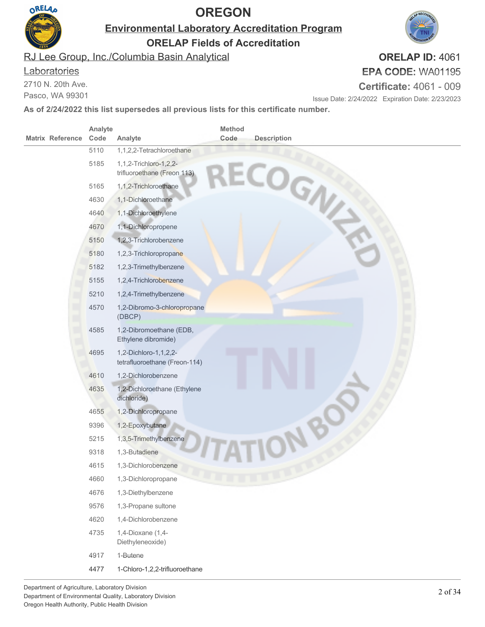

**Environmental Laboratory Accreditation Program**

**ORELAP Fields of Accreditation**

RJ Lee Group, Inc./Columbia Basin Analytical

#### **Laboratories**

2710 N. 20th Ave.

Pasco, WA 99301

### **ORELAP ID:** 4061 **EPA CODE:** WA01195

**Certificate:** 4061 - 009

Issue Date: 2/24/2022 Expiration Date: 2/23/2023

| <b>Matrix Reference</b> | Analyte<br>Code | Analyte                                                | <b>Method</b><br>Code | <b>Description</b> |
|-------------------------|-----------------|--------------------------------------------------------|-----------------------|--------------------|
|                         | 5110            | 1,1,2,2-Tetrachloroethane                              |                       |                    |
|                         | 5185            | 1,1,2-Trichloro-1,2,2-<br>trifluoroethane (Freon 113)  |                       | ECOGN              |
|                         | 5165            | 1,1,2-Trichloroethane                                  |                       |                    |
|                         | 4630            | 1,1-Dichloroethane                                     |                       |                    |
|                         | 4640            | 1,1-Dichloroethylene                                   |                       |                    |
|                         | 4670            | 1,1-Dichloropropene                                    |                       |                    |
|                         | 5150            | 1,2,3-Trichlorobenzene                                 |                       |                    |
|                         | 5180            | 1,2,3-Trichloropropane                                 |                       |                    |
|                         | 5182            | 1,2,3-Trimethylbenzene                                 |                       |                    |
|                         | 5155            | 1,2,4-Trichlorobenzene                                 |                       |                    |
|                         | 5210            | 1,2,4-Trimethylbenzene                                 |                       |                    |
|                         | 4570            | 1,2-Dibromo-3-chloropropane<br>(DBCP)                  |                       |                    |
|                         | 4585            | 1,2-Dibromoethane (EDB,<br>Ethylene dibromide)         |                       |                    |
|                         | 4695            | 1,2-Dichloro-1,1,2,2-<br>tetrafluoroethane (Freon-114) |                       |                    |
|                         | 4610            | 1,2-Dichlorobenzene                                    |                       |                    |
|                         | 4635            | 1,2-Dichloroethane (Ethylene<br>dichloride)            |                       |                    |
|                         | 4655            | 1,2-Dichloropropane                                    |                       |                    |
|                         | 9396            | 1,2-Epoxybutane                                        |                       |                    |
|                         | 5215            | 1,3,5-Trimethylbenzene                                 |                       |                    |
|                         | 9318            | 1,3-Butadiene                                          |                       |                    |
|                         | 4615            | 1,3-Dichlorobenzene                                    |                       |                    |
|                         | 4660            | 1,3-Dichloropropane                                    |                       |                    |
|                         | 4676            | 1,3-Diethylbenzene                                     |                       |                    |
|                         | 9576            | 1,3-Propane sultone                                    |                       |                    |
|                         | 4620            | 1,4-Dichlorobenzene                                    |                       |                    |
|                         | 4735            | 1,4-Dioxane (1,4-<br>Diethyleneoxide)                  |                       |                    |
|                         | 4917            | 1-Butene                                               |                       |                    |
|                         | 4477            | 1-Chloro-1,2,2-trifluoroethane                         |                       |                    |

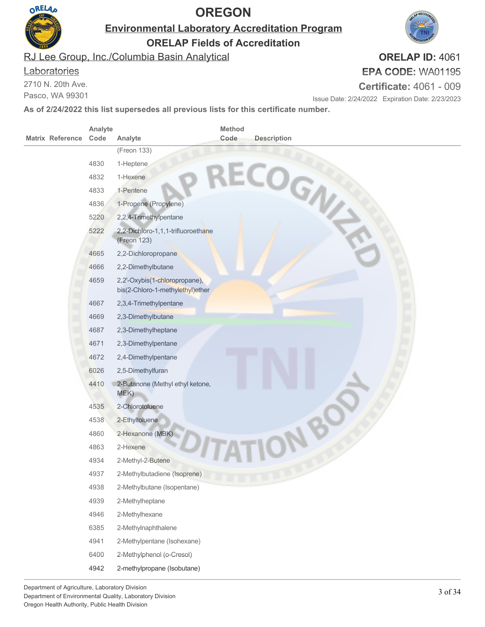

**Environmental Laboratory Accreditation Program**

**ORELAP Fields of Accreditation**

RJ Lee Group, Inc./Columbia Basin Analytical

#### **Laboratories**

2710 N. 20th Ave.

Pasco, WA 99301

#### **EPA CODE:** WA01195 **Certificate:** 4061 - 009

Issue Date: 2/24/2022 Expiration Date: 2/23/2023

**As of 2/24/2022 this list supersedes all previous lists for this certificate number.**

|                         | Analyte |                                                                   | Method |                    |
|-------------------------|---------|-------------------------------------------------------------------|--------|--------------------|
| <b>Matrix Reference</b> | Code    | Analyte                                                           | Code   | <b>Description</b> |
|                         |         | (Freon 133)                                                       |        |                    |
|                         | 4830    | 1-Heptene                                                         |        |                    |
|                         | 4832    | 1-Hexene                                                          |        |                    |
|                         | 4833    | 1-Pentene                                                         |        |                    |
|                         | 4836    | 1-Propene (Propylene)                                             |        | RECOGN             |
|                         | 5220    | 2,2,4-Trimethylpentane                                            |        |                    |
|                         | 5222    | 2,2-Dichloro-1,1,1-trifluoroethane<br>(Freon 123)                 |        |                    |
|                         | 4665    | 2,2-Dichloropropane                                               |        |                    |
|                         | 4666    | 2,2-Dimethylbutane                                                |        |                    |
|                         | 4659    | 2,2'-Oxybis(1-chloropropane),<br>bis(2-Chloro-1-methylethyl)ether |        |                    |
|                         | 4667    | 2,3,4-Trimethylpentane                                            |        |                    |
|                         | 4669    | 2,3-Dimethylbutane                                                |        |                    |
|                         | 4687    | 2,3-Dimethylheptane                                               |        |                    |
|                         | 4671    | 2,3-Dimethylpentane                                               |        |                    |
|                         | 4672    | 2,4-Dimethylpentane                                               |        |                    |
|                         | 6026    | 2,5-Dimethylfuran                                                 |        |                    |
|                         | 4410    | 2-Butanone (Methyl ethyl ketone,<br>MEK)                          |        |                    |
|                         | 4535    | 2-Chlorotoluene                                                   |        |                    |
|                         | 4538    | 2-Ethyltoluene                                                    |        |                    |
|                         | 4860    | 2-Hexanone (MBK)                                                  |        |                    |
|                         | 4863    | 2-Hexene                                                          |        |                    |
|                         | 4934    | 2-Methyl-2-Butene                                                 |        |                    |
|                         | 4937    | 2-Methylbutadiene (Isoprene)                                      |        |                    |
|                         | 4938    | 2-Methylbutane (Isopentane)                                       |        |                    |
|                         | 4939    | 2-Methylheptane                                                   |        |                    |
|                         | 4946    | 2-Methylhexane                                                    |        |                    |
|                         | 6385    | 2-Methylnaphthalene                                               |        |                    |
|                         | 4941    | 2-Methylpentane (Isohexane)                                       |        |                    |
|                         | 6400    | 2-Methylphenol (o-Cresol)                                         |        |                    |
|                         | 4942    | 2-methylpropane (Isobutane)                                       |        |                    |

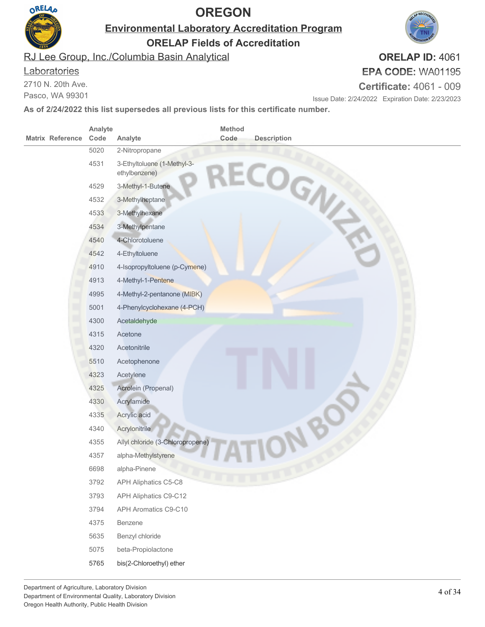

**Environmental Laboratory Accreditation Program**

**ORELAP Fields of Accreditation**

RJ Lee Group, Inc./Columbia Basin Analytical

#### **Laboratories**

2710 N. 20th Ave.

Pasco, WA 99301

# **EPA CODE:** WA01195

**Certificate:** 4061 - 009

Issue Date: 2/24/2022 Expiration Date: 2/23/2023

**As of 2/24/2022 this list supersedes all previous lists for this certificate number.**

| <b>Matrix Reference</b> | Analyte<br>Code | Analyte                                      | Method<br>Code | <b>Description</b> |
|-------------------------|-----------------|----------------------------------------------|----------------|--------------------|
|                         | 5020            | 2-Nitropropane                               |                |                    |
|                         | 4531            | 3-Ethyltoluene (1-Methyl-3-<br>ethylbenzene) |                | ECOGN              |
|                         | 4529            | 3-Methyl-1-Butene                            |                |                    |
|                         | 4532            | 3-Methylheptane                              |                |                    |
|                         | 4533            | 3-Methylhexane                               |                |                    |
|                         | 4534            | 3-Methylpentane                              |                |                    |
|                         | 4540            | 4-Chlorotoluene                              |                |                    |
|                         | 4542            | 4-Ethyltoluene                               |                |                    |
|                         | 4910            | 4-Isopropyltoluene (p-Cymene)                |                |                    |
|                         | 4913            | 4-Methyl-1-Pentene                           |                |                    |
|                         | 4995            | 4-Methyl-2-pentanone (MIBK)                  |                |                    |
|                         | 5001            | 4-Phenylcyclohexane (4-PCH)                  |                |                    |
|                         | 4300            | Acetaldehyde                                 |                |                    |
|                         | 4315            | Acetone                                      |                |                    |
|                         | 4320            | Acetonitrile                                 |                |                    |
|                         | 5510            | Acetophenone                                 |                |                    |
|                         | 4323            | Acetylene                                    |                |                    |
|                         | 4325            | Acrolein (Propenal)                          |                |                    |
|                         | 4330            | Acrylamide                                   |                |                    |
|                         | 4335            | Acrylic acid                                 |                |                    |
|                         | 4340            | Acrylonitrile                                |                |                    |
|                         | 4355            | Allyl chloride (3-Chloropropene)             |                |                    |
|                         | 4357            | alpha-Methylstyrene                          |                |                    |
|                         | 6698            | alpha-Pinene                                 |                |                    |
|                         | 3792            | APH Aliphatics C5-C8                         |                |                    |
|                         | 3793            | APH Aliphatics C9-C12                        |                |                    |
|                         | 3794            | APH Aromatics C9-C10                         |                |                    |
|                         | 4375            | Benzene                                      |                |                    |
|                         | 5635            | Benzyl chloride                              |                |                    |
|                         | 5075            | beta-Propiolactone                           |                |                    |
|                         | 5765            | bis(2-Chloroethyl) ether                     |                |                    |

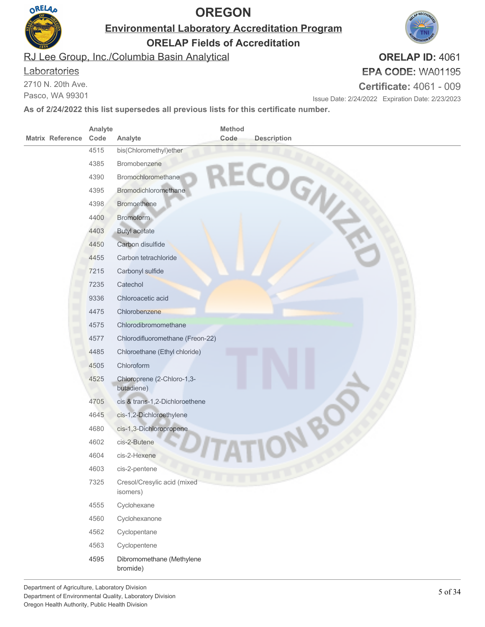

**Environmental Laboratory Accreditation Program**

**ORELAP Fields of Accreditation**

RJ Lee Group, Inc./Columbia Basin Analytical

#### **Laboratories**

2710 N. 20th Ave.

Pasco, WA 99301

# **EPA CODE:** WA01195

**Certificate:** 4061 - 009

Issue Date: 2/24/2022 Expiration Date: 2/23/2023

**As of 2/24/2022 this list supersedes all previous lists for this certificate number.**

|                         | Analyte |                                         | Method |                    |  |
|-------------------------|---------|-----------------------------------------|--------|--------------------|--|
| <b>Matrix Reference</b> | Code    | Analyte                                 | Code   | <b>Description</b> |  |
|                         | 4515    | bis(Chloromethyl)ether                  |        |                    |  |
|                         | 4385    | Bromobenzene                            |        |                    |  |
|                         | 4390    | Bromochloromethane                      |        |                    |  |
|                         | 4395    | <b>Bromodichloromethane</b>             |        |                    |  |
|                         | 4398    | <b>Bromoethene</b>                      |        | ECOGN              |  |
|                         | 4400    | Bromoform                               |        |                    |  |
|                         | 4403    | <b>Butyl acetate</b>                    |        |                    |  |
|                         | 4450    | Carbon disulfide                        |        |                    |  |
|                         | 4455    | Carbon tetrachloride                    |        |                    |  |
|                         | 7215    | Carbonyl sulfide                        |        |                    |  |
|                         | 7235    | Catechol                                |        |                    |  |
|                         | 9336    | Chloroacetic acid                       |        |                    |  |
|                         | 4475    | Chlorobenzene                           |        |                    |  |
|                         | 4575    | Chlorodibromomethane                    |        |                    |  |
|                         | 4577    | Chlorodifluoromethane (Freon-22)        |        |                    |  |
|                         | 4485    | Chloroethane (Ethyl chloride)           |        |                    |  |
|                         | 4505    | Chloroform                              |        |                    |  |
|                         | 4525    | Chloroprene (2-Chloro-1,3-              |        |                    |  |
|                         |         | butadiene)                              |        |                    |  |
|                         | 4705    | cis & trans-1,2-Dichloroethene          |        |                    |  |
|                         | 4645    | cis-1,2-Dichloroethylene                |        |                    |  |
|                         | 4680    | cis-1,3-Dichloropropene                 |        |                    |  |
|                         | 4602    | cis-2-Butene                            |        |                    |  |
|                         | 4604    | cis-2-Hexene                            |        |                    |  |
|                         | 4603    | cis-2-pentene                           |        |                    |  |
|                         | 7325    | Cresol/Cresylic acid (mixed<br>isomers) |        |                    |  |
|                         | 4555    | Cyclohexane                             |        |                    |  |
|                         | 4560    | Cyclohexanone                           |        |                    |  |
|                         | 4562    | Cyclopentane                            |        |                    |  |
|                         | 4563    | Cyclopentene                            |        |                    |  |
|                         | 4595    | Dibromomethane (Methylene<br>bromide)   |        |                    |  |

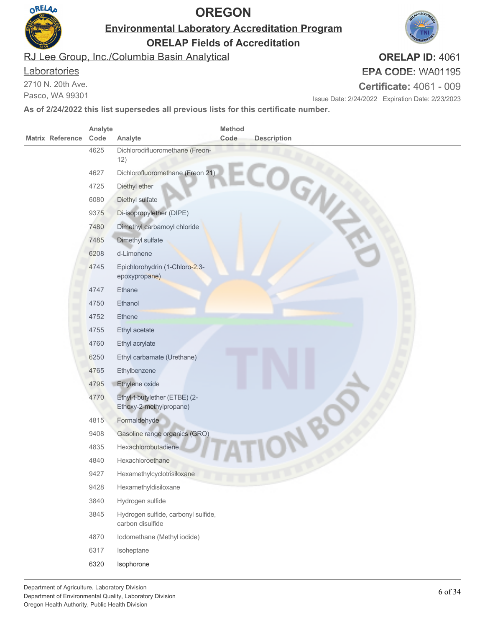

**Environmental Laboratory Accreditation Program**

**ORELAP Fields of Accreditation**

RJ Lee Group, Inc./Columbia Basin Analytical

#### **Laboratories**

2710 N. 20th Ave.

Pasco, WA 99301

# **EPA CODE:** WA01195

**Certificate:** 4061 - 009

Issue Date: 2/24/2022 Expiration Date: 2/23/2023

**As of 2/24/2022 this list supersedes all previous lists for this certificate number.**

|                         | Analyte |                                                          | Method |                    |
|-------------------------|---------|----------------------------------------------------------|--------|--------------------|
| <b>Matrix Reference</b> | Code    | Analyte                                                  | Code   | <b>Description</b> |
|                         | 4625    | Dichlorodifluoromethane (Freon-<br>12)                   |        |                    |
|                         | 4627    | Dichlorofluoromethane (Freon 21)                         |        |                    |
|                         | 4725    | Diethyl ether                                            |        |                    |
|                         | 6080    | Diethyl sulfate                                          |        | COGNI              |
|                         | 9375    | Di-isopropylether (DIPE)                                 |        |                    |
|                         | 7480    | Dimethyl carbamoyl chloride                              |        |                    |
|                         | 7485    | Dimethyl sulfate                                         |        |                    |
|                         | 6208    | d-Limonene                                               |        |                    |
|                         | 4745    | Epichlorohydrin (1-Chloro-2,3-<br>epoxypropane)          |        |                    |
|                         | 4747    | Ethane                                                   |        |                    |
|                         | 4750    | Ethanol                                                  |        |                    |
|                         | 4752    | Ethene                                                   |        |                    |
|                         | 4755    | Ethyl acetate                                            |        |                    |
|                         | 4760    | Ethyl acrylate                                           |        |                    |
|                         | 6250    | Ethyl carbamate (Urethane)                               |        |                    |
|                         | 4765    | Ethylbenzene                                             |        |                    |
|                         | 4795    | Ethylene oxide                                           |        |                    |
|                         | 4770    | Ethyl-t-butylether (ETBE) (2-<br>Ethoxy-2-methylpropane) |        |                    |
|                         | 4815    | Formaldehyde                                             |        |                    |
|                         | 9408    | Gasoline range organics (GRO)                            |        |                    |
|                         | 4835    | Hexachlorobutadiene                                      |        |                    |
|                         | 4840    | Hexachloroethane                                         |        |                    |
|                         | 9427    | Hexamethylcyclotrisiloxane                               |        |                    |
|                         | 9428    | Hexamethyldisiloxane                                     |        |                    |
|                         | 3840    | Hydrogen sulfide                                         |        |                    |
|                         | 3845    | Hydrogen sulfide, carbonyl sulfide,<br>carbon disulfide  |        |                    |
|                         | 4870    | Iodomethane (Methyl iodide)                              |        |                    |
|                         | 6317    | Isoheptane                                               |        |                    |
|                         | 6320    | Isophorone                                               |        |                    |

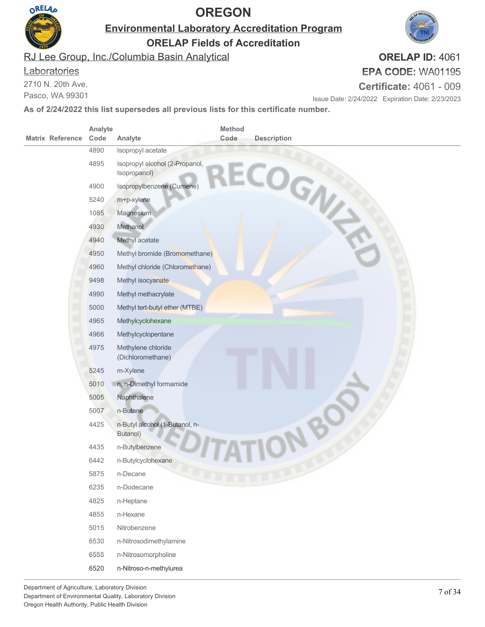

**Environmental Laboratory Accreditation Program**

**ORELAP Fields of Accreditation**

RJ Lee Group, Inc./Columbia Basin Analytical

#### **Laboratories**

2710 N. 20th Ave.

Pasco, WA 99301

#### **ORELAP ID:** 4061 **EPA CODE:** WA01195

**Certificate:** 4061 - 009

Issue Date: 2/24/2022 Expiration Date: 2/23/2023

|                         | Analyte |                                                | Method |                    |
|-------------------------|---------|------------------------------------------------|--------|--------------------|
| <b>Matrix Reference</b> | Code    | Analyte                                        | Code   | <b>Description</b> |
|                         | 4890    | Isopropyl acetate                              |        |                    |
|                         | 4895    | Isopropyl alcohol (2-Propanol,<br>Isopropanol) |        | ECOGN              |
|                         | 4900    | Isopropylbenzene (Cumene)                      |        |                    |
|                         | 5240    | m+p-xylene                                     |        |                    |
|                         | 1085    | Magnesium                                      |        |                    |
|                         | 4930    | Methanol                                       |        |                    |
|                         | 4940    | Methyl acetate                                 |        |                    |
|                         | 4950    | Methyl bromide (Bromomethane)                  |        |                    |
|                         | 4960    | Methyl chloride (Chloromethane)                |        |                    |
|                         | 9498    | Methyl isocyanate                              |        |                    |
|                         | 4990    | Methyl methacrylate                            |        |                    |
|                         | 5000    | Methyl tert-butyl ether (MTBE)                 |        |                    |
|                         | 4965    | Methylcyclohexane                              |        |                    |
|                         | 4966    | Methylcyclopentane                             |        |                    |
|                         | 4975    | Methylene chloride<br>(Dichloromethane)        |        |                    |
|                         | 5245    | m-Xylene                                       |        |                    |
|                         | 5010    | n, n-Dimethyl formamide                        |        |                    |
|                         | 5005    | Naphthalene                                    |        |                    |
|                         | 5007    | n-Butane                                       |        |                    |
|                         | 4425    | n-Butyl alcohol (1-Butanol, n-<br>Butanol)     |        |                    |
|                         | 4435    | n-Butylbenzene                                 |        |                    |
|                         | 6442    | n-Butylcyclohexane                             |        |                    |
|                         | 5875    | n-Decane                                       |        |                    |
|                         | 6235    | n-Dodecane                                     |        |                    |
|                         | 4825    | n-Heptane                                      |        |                    |
|                         | 4855    | n-Hexane                                       |        |                    |
|                         | 5015    | Nitrobenzene                                   |        |                    |
|                         | 6530    | n-Nitrosodimethylamine                         |        |                    |
|                         | 6555    | n-Nitrosomorpholine                            |        |                    |
|                         | 6520    | n-Nitroso-n-methylurea                         |        |                    |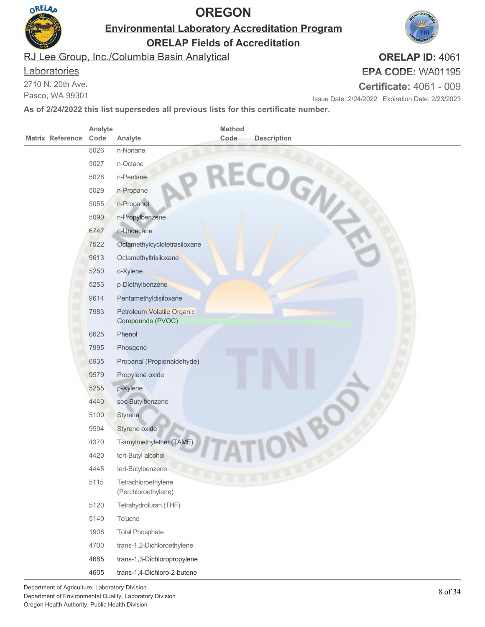

**Environmental Laboratory Accreditation Program**

**ORELAP Fields of Accreditation**

RJ Lee Group, Inc./Columbia Basin Analytical

#### **Laboratories**

2710 N. 20th Ave.

Pasco, WA 99301

#### **EPA CODE:** WA01195 **Certificate:** 4061 - 009

Issue Date: 2/24/2022 Expiration Date: 2/23/2023

**As of 2/24/2022 this list supersedes all previous lists for this certificate number.**

|                         | Analyte |                                                | Method |                    |
|-------------------------|---------|------------------------------------------------|--------|--------------------|
| <b>Matrix Reference</b> | Code    | Analyte                                        | Code   | <b>Description</b> |
|                         | 5026    | n-Nonane                                       |        |                    |
|                         | 5027    | n-Octane                                       |        |                    |
|                         | 5028    | n-Pentane                                      |        |                    |
|                         | 5029    | n-Propane                                      |        |                    |
|                         | 5055    | n-Propanol                                     |        | RECOGN             |
|                         | 5090    | n-Propylbenzene                                |        |                    |
|                         | 6747    | n-Undecane                                     |        |                    |
|                         | 7522    | Octamethylcyclotetrasiloxane                   |        |                    |
|                         | 9613    | Octamethyltrisiloxane                          |        |                    |
|                         | 5250    | o-Xylene                                       |        |                    |
|                         | 5253    | p-Diethylbenzene                               |        |                    |
|                         | 9614    | Pentamethyldisiloxane                          |        |                    |
|                         | 7983    | Petroleum Volatile Organic<br>Compounds (PVOC) |        |                    |
|                         | 6625    | Phenol                                         |        |                    |
|                         | 7995    | Phosgene                                       |        |                    |
|                         | 6935    | Propanal (Propionaldehyde)                     |        |                    |
|                         | 9579    | Propylene oxide                                |        |                    |
|                         | 5255    | p-Xylene                                       |        |                    |
|                         | 4440    | sec-Butylbenzene                               |        |                    |
|                         | 5100    | Styrene                                        |        |                    |
|                         | 9594    | Styrene oxide                                  |        |                    |
|                         | 4370    | T-amylmethylether (TAME)                       |        |                    |
|                         | 4420    | tert-Butyl alcohol                             |        |                    |
|                         | 4445    | tert-Butylbenzene                              |        |                    |
|                         | 5115    | Tetrachloroethylene<br>(Perchloroethylene)     |        |                    |
|                         | 5120    | Tetrahydrofuran (THF)                          |        |                    |
|                         | 5140    | Toluene                                        |        |                    |
|                         | 1908    | <b>Total Phosphate</b>                         |        |                    |
|                         | 4700    | trans-1,2-Dichloroethylene                     |        |                    |
|                         | 4685    | trans-1,3-Dichloropropylene                    |        |                    |
|                         | 4605    | trans-1,4-Dichloro-2-butene                    |        |                    |

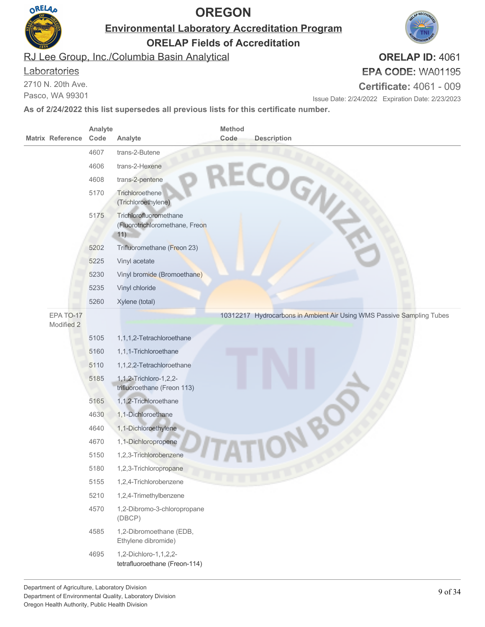

**Environmental Laboratory Accreditation Program**

**ORELAP Fields of Accreditation**

RJ Lee Group, Inc./Columbia Basin Analytical

#### **Laboratories**

2710 N. 20th Ave.

Pasco, WA 99301

#### **EPA CODE:** WA01195 **Certificate:** 4061 - 009

**ORELAP ID:** 4061

Issue Date: 2/24/2022 Expiration Date: 2/23/2023

| <b>Matrix Reference</b> | Analyte<br>Code | Analyte                                                         | <b>Method</b><br>Code | <b>Description</b>                                                    |
|-------------------------|-----------------|-----------------------------------------------------------------|-----------------------|-----------------------------------------------------------------------|
|                         | 4607            | trans-2-Butene                                                  |                       |                                                                       |
|                         | 4606            | trans-2-Hexene                                                  |                       |                                                                       |
|                         | 4608            | trans-2-pentene                                                 |                       |                                                                       |
|                         | 5170            | Trichloroethene<br>(Trichloroethylene)                          |                       | RECOGN                                                                |
|                         | 5175            | Trichlorofluoromethane<br>(Fluorotrichloromethane, Freon<br>11) |                       |                                                                       |
|                         | 5202            | Trifluoromethane (Freon 23)                                     |                       |                                                                       |
|                         | 5225            | Vinyl acetate                                                   |                       |                                                                       |
|                         | 5230            | Vinyl bromide (Bromoethane)                                     |                       |                                                                       |
|                         | 5235            | Vinyl chloride                                                  |                       |                                                                       |
|                         | 5260            | Xylene (total)                                                  |                       |                                                                       |
| EPA TO-17<br>Modified 2 |                 |                                                                 |                       | 10312217 Hydrocarbons in Ambient Air Using WMS Passive Sampling Tubes |
|                         | 5105            | 1,1,1,2-Tetrachloroethane                                       |                       |                                                                       |
|                         | 5160            | 1,1,1-Trichloroethane                                           |                       |                                                                       |
|                         | 5110            | 1,1,2,2-Tetrachloroethane                                       |                       |                                                                       |
|                         | 5185            | 1, 1, 2-Trichloro-1, 2, 2-<br>trifluoroethane (Freon 113)       |                       |                                                                       |
|                         | 5165            | 1,1,2-Trichloroethane                                           |                       |                                                                       |
|                         | 4630            | 1,1-Dichloroethane                                              |                       |                                                                       |
|                         | 4640            | 1,1-Dichloroethylene                                            |                       |                                                                       |
|                         | 4670            | 1,1-Dichloropropene                                             |                       |                                                                       |
|                         | 5150            | 1,2,3-Trichlorobenzene                                          |                       |                                                                       |
|                         | 5180            | 1,2,3-Trichloropropane                                          |                       |                                                                       |
|                         | 5155            | 1,2,4-Trichlorobenzene                                          |                       |                                                                       |
|                         | 5210            | 1,2,4-Trimethylbenzene                                          |                       |                                                                       |
|                         | 4570            | 1,2-Dibromo-3-chloropropane<br>(DBCP)                           |                       |                                                                       |
|                         | 4585            | 1,2-Dibromoethane (EDB,<br>Ethylene dibromide)                  |                       |                                                                       |
|                         | 4695            | 1,2-Dichloro-1,1,2,2-<br>tetrafluoroethane (Freon-114)          |                       |                                                                       |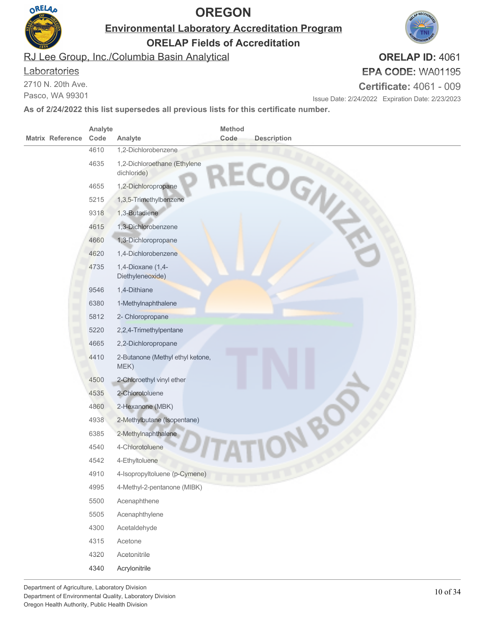

**Environmental Laboratory Accreditation Program**

**ORELAP Fields of Accreditation**

RJ Lee Group, Inc./Columbia Basin Analytical

#### **Laboratories**

2710 N. 20th Ave.

Pasco, WA 99301

# **EPA CODE:** WA01195

**Certificate:** 4061 - 009

Issue Date: 2/24/2022 Expiration Date: 2/23/2023

**As of 2/24/2022 this list supersedes all previous lists for this certificate number.**

|                         | Analyte      |                                             | Method |                    |  |
|-------------------------|--------------|---------------------------------------------|--------|--------------------|--|
| <b>Matrix Reference</b> | Code         | Analyte<br>1,2-Dichlorobenzene              | Code   | <b>Description</b> |  |
|                         | 4610<br>4635 |                                             |        |                    |  |
|                         |              | 1,2-Dichloroethane (Ethylene<br>dichloride) |        | ECOGN              |  |
|                         | 4655         | 1,2-Dichloropropane                         |        |                    |  |
|                         | 5215         | 1,3,5-Trimethylbenzene                      |        |                    |  |
|                         | 9318         | 1,3-Butadiene                               |        |                    |  |
|                         | 4615         | 1,3-Dichlorobenzene                         |        |                    |  |
|                         | 4660         | 1,3-Dichloropropane                         |        |                    |  |
|                         | 4620         | 1,4-Dichlorobenzene                         |        |                    |  |
|                         | 4735         | 1,4-Dioxane (1,4-<br>Diethyleneoxide)       |        |                    |  |
|                         | 9546         | 1,4-Dithiane                                |        |                    |  |
|                         | 6380         | 1-Methylnaphthalene                         |        |                    |  |
|                         | 5812         | 2- Chloropropane                            |        |                    |  |
|                         | 5220         | 2,2,4-Trimethylpentane                      |        |                    |  |
|                         | 4665         | 2,2-Dichloropropane                         |        |                    |  |
|                         | 4410         | 2-Butanone (Methyl ethyl ketone,<br>MEK)    |        |                    |  |
|                         | 4500         | 2-Chloroethyl vinyl ether                   |        |                    |  |
|                         | 4535         | 2-Chlorotoluene                             |        |                    |  |
|                         | 4860         | 2-Hexanone (MBK)                            |        |                    |  |
|                         | 4938         | 2-Methylbutane (Isopentane)                 |        |                    |  |
|                         | 6385         | 2-Methylnaphthalene                         |        |                    |  |
|                         | 4540         | 4-Chlorotoluene                             |        |                    |  |
|                         | 4542         | 4-Ethyltoluene                              |        |                    |  |
|                         | 4910         | 4-Isopropyltoluene (p-Cymene)               |        |                    |  |
|                         | 4995         | 4-Methyl-2-pentanone (MIBK)                 |        |                    |  |
|                         | 5500         | Acenaphthene                                |        |                    |  |
|                         | 5505         | Acenaphthylene                              |        |                    |  |
|                         | 4300         | Acetaldehyde                                |        |                    |  |
|                         | 4315         | Acetone                                     |        |                    |  |
|                         | 4320         | Acetonitrile                                |        |                    |  |
|                         | 4340         | Acrylonitrile                               |        |                    |  |

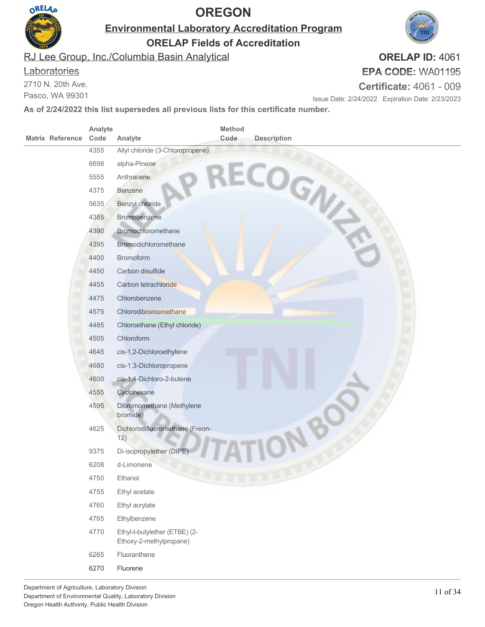

**Environmental Laboratory Accreditation Program**

**ORELAP Fields of Accreditation**

RJ Lee Group, Inc./Columbia Basin Analytical

#### **Laboratories**

2710 N. 20th Ave.

Pasco, WA 99301

#### **EPA CODE:** WA01195 **Certificate:** 4061 - 009

Issue Date: 2/24/2022 Expiration Date: 2/23/2023

**As of 2/24/2022 this list supersedes all previous lists for this certificate number.**

| <b>Matrix Reference</b> | Analyte      |                                                          | Method | <b>Description</b> |
|-------------------------|--------------|----------------------------------------------------------|--------|--------------------|
|                         | Code<br>4355 | Analyte<br>Allyl chloride (3-Chloropropene)              | Code   |                    |
|                         | 6698         | alpha-Pinene                                             |        |                    |
|                         | 5555         | Anthracene                                               |        |                    |
|                         | 4375         | Benzene                                                  |        |                    |
|                         | 5635         | Benzyl chloride                                          |        | ECOGN              |
|                         | 4385         | Bromobenzene                                             |        |                    |
|                         | 4390         | Bromochloromethane                                       |        |                    |
|                         | 4395         | Bromodichloromethane                                     |        |                    |
|                         | 4400         | <b>Bromoform</b>                                         |        |                    |
|                         | 4450         | Carbon disulfide                                         |        |                    |
|                         | 4455         | Carbon tetrachloride                                     |        |                    |
|                         | 4475         | Chlorobenzene                                            |        |                    |
|                         | 4575         | Chlorodibromomethane                                     |        |                    |
|                         | 4485         | Chloroethane (Ethyl chloride)                            |        |                    |
|                         | 4505         | Chloroform                                               |        |                    |
|                         | 4645         | cis-1,2-Dichloroethylene                                 |        |                    |
|                         | 4680         | cis-1,3-Dichloropropene                                  |        |                    |
|                         | 4600         | cis-1,4-Dichloro-2-butene                                |        |                    |
|                         | 4555         | Cyclohexane                                              |        |                    |
|                         | 4595         | Dibromomethane (Methylene<br>bromide)                    |        |                    |
|                         | 4625         | Dichlorodifluoromethane (Freon-<br>12)                   |        |                    |
|                         | 9375         | Di-isopropylether (DIPE)                                 |        |                    |
|                         | 6208         | d-Limonene                                               |        |                    |
|                         | 4750         | Ethanol                                                  |        |                    |
|                         | 4755         | Ethyl acetate                                            |        |                    |
|                         | 4760         | Ethyl acrylate                                           |        |                    |
|                         | 4765         | Ethylbenzene                                             |        |                    |
|                         | 4770         | Ethyl-t-butylether (ETBE) (2-<br>Ethoxy-2-methylpropane) |        |                    |
|                         | 6265         | Fluoranthene                                             |        |                    |
|                         | 6270         | Fluorene                                                 |        |                    |
|                         |              |                                                          |        |                    |

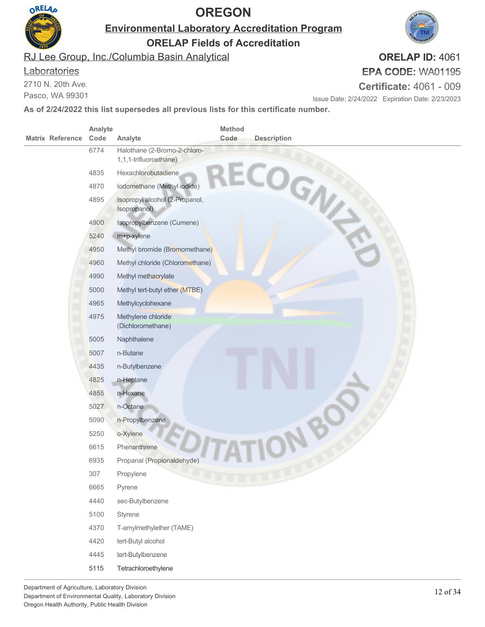

**Environmental Laboratory Accreditation Program**

**ORELAP Fields of Accreditation**

RJ Lee Group, Inc./Columbia Basin Analytical

#### **Laboratories**

2710 N. 20th Ave.

Pasco, WA 99301

**ORELAP ID:** 4061 **EPA CODE:** WA01195

**Certificate:** 4061 - 009

Issue Date: 2/24/2022 Expiration Date: 2/23/2023

|                         | Analyte |                                                        | Method |                    |
|-------------------------|---------|--------------------------------------------------------|--------|--------------------|
| <b>Matrix Reference</b> | Code    | Analyte                                                | Code   | <b>Description</b> |
|                         | 6774    | Halothane (2-Bromo-2-chloro-<br>1,1,1-trifluoroethane) |        |                    |
|                         | 4835    | Hexachlorobutadiene                                    |        |                    |
|                         | 4870    | Iodomethane (Methyl iodide)                            |        |                    |
|                         | 4895    | Isopropyl alcohol (2-Propanol,<br>Isopropanol)         |        | RECOGN             |
|                         | 4900    | Isopropylbenzene (Cumene)                              |        |                    |
|                         | 5240    | m+p-xylene                                             |        |                    |
|                         | 4950    | Methyl bromide (Bromomethane)                          |        |                    |
|                         | 4960    | Methyl chloride (Chloromethane)                        |        |                    |
|                         | 4990    | Methyl methacrylate                                    |        |                    |
|                         | 5000    | Methyl tert-butyl ether (MTBE)                         |        |                    |
|                         | 4965    | Methylcyclohexane                                      |        |                    |
|                         | 4975    | Methylene chloride<br>(Dichloromethane)                |        |                    |
|                         | 5005    | Naphthalene                                            |        |                    |
|                         | 5007    | n-Butane                                               |        |                    |
|                         | 4435    | n-Butylbenzene                                         |        |                    |
|                         | 4825    | n-Heptane                                              |        |                    |
|                         | 4855    | n-Hexane                                               |        |                    |
|                         | 5027    | n-Octane <sup>®</sup>                                  |        |                    |
|                         | 5090    | n-Propylbenzene                                        |        |                    |
|                         | 5250    | o-Xylene                                               |        |                    |
|                         | 6615    | Phenanthrene                                           |        |                    |
|                         | 6935    | Propanal (Propionaldehyde)                             |        |                    |
|                         | 307     | Propylene                                              |        |                    |
|                         | 6665    | Pyrene                                                 |        |                    |
|                         | 4440    | sec-Butylbenzene                                       |        |                    |
|                         | 5100    | Styrene                                                |        |                    |
|                         | 4370    | T-amylmethylether (TAME)                               |        |                    |
|                         | 4420    | tert-Butyl alcohol                                     |        |                    |
|                         | 4445    | tert-Butylbenzene                                      |        |                    |
|                         | 5115    | Tetrachloroethylene                                    |        |                    |

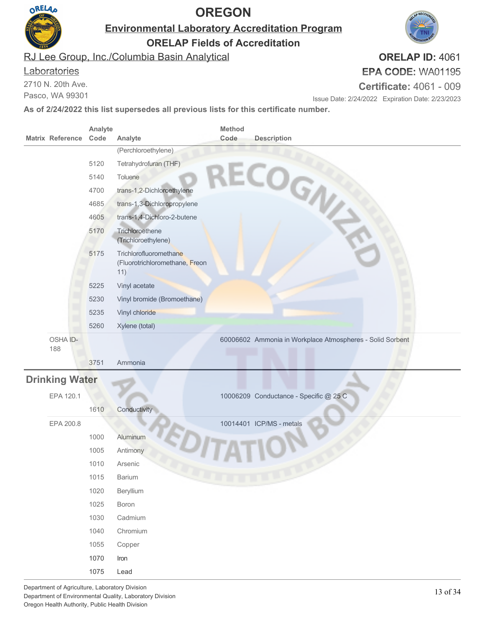

**Environmental Laboratory Accreditation Program**

**ORELAP Fields of Accreditation**

RJ Lee Group, Inc./Columbia Basin Analytical

#### **Laboratories**

2710 N. 20th Ave.

Pasco, WA 99301

# **EPA CODE:** WA01195

**Certificate:** 4061 - 009

Issue Date: 2/24/2022 Expiration Date: 2/23/2023

**As of 2/24/2022 this list supersedes all previous lists for this certificate number.**

| <b>Matrix Reference</b> | Analyte<br>Code | Analyte                                                         | <b>Method</b><br>Code | <b>Description</b>                                        |
|-------------------------|-----------------|-----------------------------------------------------------------|-----------------------|-----------------------------------------------------------|
|                         |                 | (Perchloroethylene)                                             |                       |                                                           |
|                         | 5120            | Tetrahydrofuran (THF)                                           |                       |                                                           |
|                         | 5140            | Toluene                                                         |                       |                                                           |
|                         | 4700            | trans-1,2-Dichloroethylene                                      |                       |                                                           |
|                         | 4685            | trans-1,3-Dichloropropylene                                     |                       | RECOGN                                                    |
|                         | 4605            | trans-1,4-Dichloro-2-butene                                     |                       |                                                           |
|                         | 5170            | Trichloroethene<br>(Trichloroethylene)                          |                       |                                                           |
|                         | 5175            | Trichlorofluoromethane<br>(Fluorotrichloromethane, Freon<br>11) |                       |                                                           |
|                         | 5225            | Vinyl acetate                                                   |                       |                                                           |
|                         | 5230            | Vinyl bromide (Bromoethane)                                     |                       |                                                           |
|                         | 5235            | Vinyl chloride                                                  |                       |                                                           |
|                         | 5260            | Xylene (total)                                                  |                       |                                                           |
| OSHA ID-<br>188         |                 |                                                                 |                       | 60006602 Ammonia in Workplace Atmospheres - Solid Sorbent |
|                         | 3751            | Ammonia                                                         |                       |                                                           |
| <b>Drinking Water</b>   |                 |                                                                 |                       |                                                           |
| EPA 120.1               |                 |                                                                 |                       | 10006209 Conductance - Specific @ 25 C                    |
|                         | 1610            | Conductivity                                                    |                       |                                                           |
| EPA 200.8               |                 |                                                                 |                       | 10014401 ICP/MS - metals                                  |
|                         | 1000            | Aluminum                                                        |                       |                                                           |
|                         | 1005            | Antimony                                                        |                       |                                                           |
|                         | 1010            | Arsenic                                                         |                       |                                                           |
|                         | 1015            | <b>Barium</b>                                                   |                       |                                                           |
|                         | 1020            | Beryllium                                                       |                       |                                                           |
|                         | 1025            | Boron                                                           |                       |                                                           |
|                         | 1030            | Cadmium                                                         |                       |                                                           |
|                         | 1040            | Chromium                                                        |                       |                                                           |
|                         | 1055            | Copper                                                          |                       |                                                           |

1070 Iron 1075 Lead

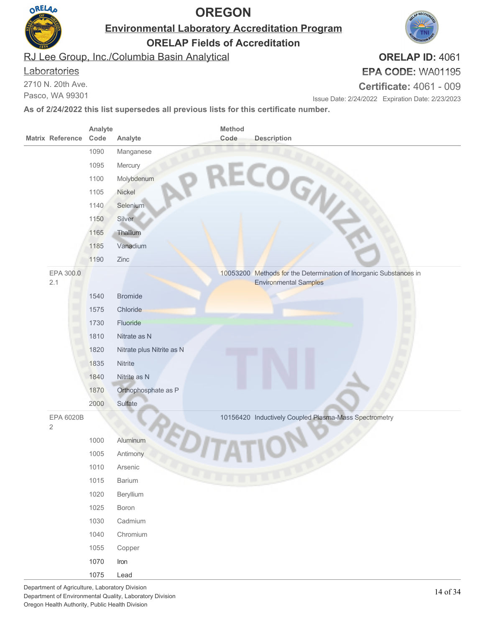

**Environmental Laboratory Accreditation Program**

**ORELAP Fields of Accreditation**

RJ Lee Group, Inc./Columbia Basin Analytical

#### **Laboratories**

2710 N. 20th Ave.

Pasco, WA 99301

#### **EPA CODE:** WA01195 **Certificate:** 4061 - 009

Issue Date: 2/24/2022 Expiration Date: 2/23/2023

**As of 2/24/2022 this list supersedes all previous lists for this certificate number.**

| <b>Matrix Reference</b>     | Analyte<br>Code | Analyte                   | Method<br>Code | <b>Description</b>                                                                                |
|-----------------------------|-----------------|---------------------------|----------------|---------------------------------------------------------------------------------------------------|
|                             | 1090            | Manganese                 |                |                                                                                                   |
|                             | 1095            | Mercury                   |                |                                                                                                   |
|                             | 1100            | Molybdenum                |                |                                                                                                   |
|                             | 1105            | Nickel                    |                |                                                                                                   |
|                             | 1140            | Selenium                  |                | RECOGN                                                                                            |
|                             | 1150            | Silver                    |                |                                                                                                   |
|                             | 1165            | Thallium                  |                |                                                                                                   |
|                             | 1185            | Vanadium                  |                |                                                                                                   |
|                             | 1190            | Zinc                      |                |                                                                                                   |
| EPA 300.0<br>2.1            |                 |                           |                | 10053200 Methods for the Determination of Inorganic Substances in<br><b>Environmental Samples</b> |
|                             | 1540            | <b>Bromide</b>            |                |                                                                                                   |
|                             | 1575            | Chloride                  |                |                                                                                                   |
|                             | 1730            | Fluoride                  |                |                                                                                                   |
|                             | 1810            | Nitrate as N              |                |                                                                                                   |
|                             | 1820            | Nitrate plus Nitrite as N |                |                                                                                                   |
|                             | 1835            | Nitrite                   |                |                                                                                                   |
|                             | 1840            | Nitrite as N              |                |                                                                                                   |
|                             | 1870            | Orthophosphate as P       |                |                                                                                                   |
|                             | 2000            | Sulfate                   |                |                                                                                                   |
| EPA 6020B<br>$\overline{2}$ |                 |                           |                | 10156420 Inductively Coupled Plasma-Mass Spectrometry                                             |
|                             | 1000            | Aluminum                  |                |                                                                                                   |
|                             | 1005            | Antimony                  |                |                                                                                                   |
|                             | 1010            | Arsenic                   |                |                                                                                                   |
|                             | 1015            | Barium                    |                |                                                                                                   |
|                             | 1020            | Beryllium                 |                |                                                                                                   |
|                             | 1025            | Boron                     |                |                                                                                                   |
|                             | 1030            | Cadmium                   |                |                                                                                                   |
|                             | 1040            | Chromium                  |                |                                                                                                   |
|                             | 1055            | Copper                    |                |                                                                                                   |
|                             | 1070            | Iron                      |                |                                                                                                   |
|                             | 1075            | Lead                      |                |                                                                                                   |

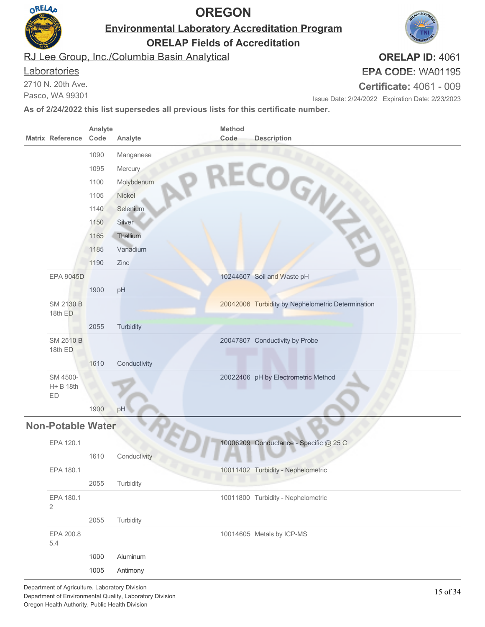

**Environmental Laboratory Accreditation Program**

**ORELAP Fields of Accreditation**

RJ Lee Group, Inc./Columbia Basin Analytical

#### **Laboratories**

2710 N. 20th Ave.

Pasco, WA 99301

# **EPA CODE:** WA01195

**ORELAP ID:** 4061

**Certificate:** 4061 - 009

Issue Date: 2/24/2022 Expiration Date: 2/23/2023

| <b>Matrix Reference</b>     | Analyte<br>Code | Analyte            | Method<br>Code | <b>Description</b>                                |
|-----------------------------|-----------------|--------------------|----------------|---------------------------------------------------|
|                             | 1090            | Manganese          |                | RECOGN                                            |
|                             | 1095            | Mercury            |                |                                                   |
|                             | 1100            | Molybdenum         |                |                                                   |
|                             | 1105            | Nickel             |                |                                                   |
|                             | 1140            | Selenium           |                |                                                   |
|                             | 1150            | Silver             |                |                                                   |
|                             | 1165            | Thallium           |                |                                                   |
|                             | 1185            | Vanadium           |                |                                                   |
|                             | 1190            | Zinc               |                |                                                   |
| <b>EPA 9045D</b>            |                 |                    |                | 10244607 Soil and Waste pH                        |
|                             | 1900            | pH                 |                |                                                   |
| <b>SM 2130 B</b><br>18th ED |                 |                    |                | 20042006 Turbidity by Nephelometric Determination |
|                             | 2055            | <b>Turbidity</b>   |                |                                                   |
| <b>SM 2510 B</b><br>18th ED |                 |                    |                | 20047807 Conductivity by Probe                    |
|                             | 1610            | Conductivity       |                |                                                   |
| SM 4500-<br>H+ B 18th<br>ED |                 |                    |                | 20022406 pH by Electrometric Method               |
|                             | 1900            | pH                 |                |                                                   |
| <b>Non-Potable Water</b>    |                 |                    |                |                                                   |
| EPA 120.1                   |                 |                    |                | 10006209 Conductance - Specific @ 25 C            |
|                             | 1610            | Conductivity       |                |                                                   |
| EPA 180.1                   |                 |                    |                | 10011402 Turbidity - Nephelometric                |
|                             | 2055            | Turbidity          |                |                                                   |
| EPA 180.1<br>$\overline{2}$ |                 |                    |                | 10011800 Turbidity - Nephelometric                |
|                             | 2055            | Turbidity          |                |                                                   |
| EPA 200.8<br>5.4            |                 |                    |                | 10014605 Metals by ICP-MS                         |
|                             | 1000            | Aluminum           |                |                                                   |
|                             | 1005            | Antimony           |                |                                                   |
|                             |                 | Loboratory Divisio |                |                                                   |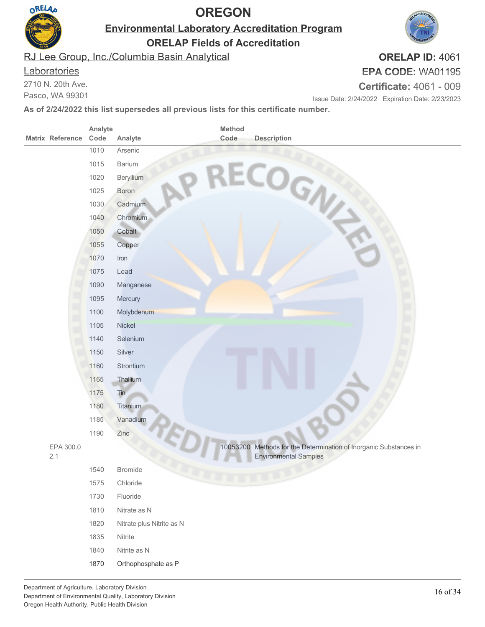

**Environmental Laboratory Accreditation Program**

**ORELAP Fields of Accreditation**

RJ Lee Group, Inc./Columbia Basin Analytical

#### **Laboratories**

2710 N. 20th Ave.

Pasco, WA 99301

#### **ORELAP ID:** 4061 **EPA CODE:** WA01195

**Certificate:** 4061 - 009

Issue Date: 2/24/2022 Expiration Date: 2/23/2023

| Analyte<br>Code<br><b>Matrix Reference</b><br>Analyte | <b>Method</b><br>Code     | <b>Description</b>                                                                                |
|-------------------------------------------------------|---------------------------|---------------------------------------------------------------------------------------------------|
| 1010<br>Arsenic                                       |                           |                                                                                                   |
| 1015<br>Barium                                        |                           |                                                                                                   |
| 1020<br>Beryllium                                     |                           |                                                                                                   |
| 1025<br>Boron                                         |                           |                                                                                                   |
| Cadmium<br>1030                                       |                           | RECOGN                                                                                            |
| 1040<br>Chromium                                      |                           |                                                                                                   |
| 1050<br>Cobalt                                        |                           |                                                                                                   |
| Copper<br>1055                                        |                           |                                                                                                   |
| 1070<br>Iron                                          |                           |                                                                                                   |
| 1075<br>Lead                                          |                           |                                                                                                   |
| 1090<br>Manganese                                     |                           |                                                                                                   |
| 1095<br>Mercury                                       |                           |                                                                                                   |
| 1100<br>Molybdenum                                    |                           |                                                                                                   |
| 1105<br>Nickel                                        |                           |                                                                                                   |
| Selenium<br>1140                                      |                           |                                                                                                   |
| 1150<br>Silver                                        |                           |                                                                                                   |
| Strontium<br>1160                                     |                           |                                                                                                   |
| Thallium<br>1165                                      |                           |                                                                                                   |
| 1175<br>Tin                                           |                           |                                                                                                   |
| 1180<br>Titanium                                      |                           |                                                                                                   |
| 1185<br>Vanadium                                      |                           |                                                                                                   |
| 1190<br>Zinc                                          |                           |                                                                                                   |
| EPA 300.0<br>2.1                                      |                           | 10053200 Methods for the Determination of Inorganic Substances in<br><b>Environmental Samples</b> |
| 1540<br><b>Bromide</b>                                |                           |                                                                                                   |
| 1575<br>Chloride                                      |                           |                                                                                                   |
| 1730<br>Fluoride                                      |                           |                                                                                                   |
| 1810<br>Nitrate as N                                  |                           |                                                                                                   |
| 1820                                                  | Nitrate plus Nitrite as N |                                                                                                   |
| 1835<br>Nitrite                                       |                           |                                                                                                   |
| 1840<br>Nitrite as N                                  |                           |                                                                                                   |
| 1870                                                  | Orthophosphate as P       |                                                                                                   |
|                                                       |                           |                                                                                                   |

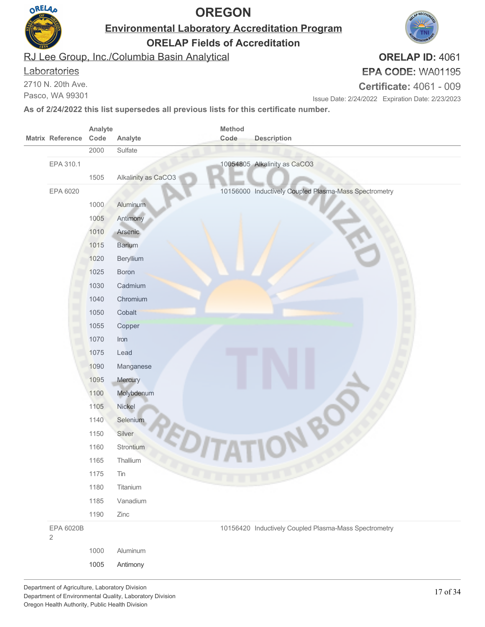

**Environmental Laboratory Accreditation Program**

**ORELAP Fields of Accreditation**

RJ Lee Group, Inc./Columbia Basin Analytical

#### **Laboratories**

2710 N. 20th Ave.

Pasco, WA 99301

# **EPA CODE:** WA01195

**Certificate:** 4061 - 009

Issue Date: 2/24/2022 Expiration Date: 2/23/2023

**As of 2/24/2022 this list supersedes all previous lists for this certificate number.**

|                             | Analyte |                     | Method |                                                       |
|-----------------------------|---------|---------------------|--------|-------------------------------------------------------|
| <b>Matrix Reference</b>     | Code    | Analyte             | Code   | <b>Description</b>                                    |
|                             | 2000    | Sulfate             |        |                                                       |
| EPA 310.1                   |         |                     |        | 10054805 Alkalinity as CaCO3                          |
|                             | 1505    | Alkalinity as CaCO3 |        |                                                       |
| EPA 6020                    |         |                     |        | 10156000 Inductively Coupled Plasma-Mass Spectrometry |
|                             | 1000    | Aluminum            |        |                                                       |
|                             | 1005    | Antimony            |        |                                                       |
|                             | 1010    | Arsenic             |        |                                                       |
|                             | 1015    | Barium              |        |                                                       |
|                             | 1020    | Beryllium           |        |                                                       |
|                             | 1025    | <b>Boron</b>        |        |                                                       |
|                             | 1030    | Cadmium             |        |                                                       |
|                             | 1040    | Chromium            |        |                                                       |
|                             | 1050    | Cobalt              |        |                                                       |
|                             | 1055    | Copper              |        |                                                       |
|                             | 1070    | Iron                |        |                                                       |
|                             | 1075    | Lead                |        |                                                       |
|                             | 1090    | Manganese           |        |                                                       |
|                             | 1095    | Mercury             |        |                                                       |
|                             | 1100    | Molybdenum          |        |                                                       |
|                             | 1105    | Nickel              |        |                                                       |
|                             | 1140    | Selenium            |        |                                                       |
|                             | 1150    | Silver              |        |                                                       |
|                             | 1160    | Strontium           |        |                                                       |
|                             | 1165    | Thallium            |        |                                                       |
|                             | 1175    | Tin                 |        |                                                       |
|                             | 1180    | Titanium            |        |                                                       |
|                             | 1185    | Vanadium            |        |                                                       |
|                             | 1190    | Zinc                |        |                                                       |
| EPA 6020B<br>$\overline{2}$ |         |                     |        | 10156420 Inductively Coupled Plasma-Mass Spectrometry |
|                             |         |                     |        |                                                       |
|                             | 1000    | Aluminum            |        |                                                       |

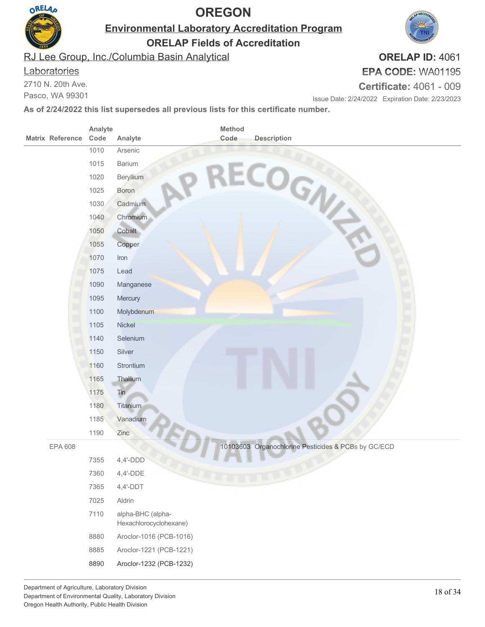

**Environmental Laboratory Accreditation Program**

**ORELAP Fields of Accreditation**

RJ Lee Group, Inc./Columbia Basin Analytical

#### **Laboratories**

2710 N. 20th Ave.

Pasco, WA 99301

#### **ORELAP ID:** 4061 **EPA CODE:** WA01195

**Certificate:** 4061 - 009

Issue Date: 2/24/2022 Expiration Date: 2/23/2023

| <b>Matrix Reference</b> | Analyte<br>Code | Method<br>Code<br><b>Description</b><br>Analyte     |
|-------------------------|-----------------|-----------------------------------------------------|
|                         | 1010            | Arsenic                                             |
|                         | 1015            | Barium                                              |
|                         | 1020            | Beryllium                                           |
|                         | 1025            | Boron                                               |
|                         | 1030            | RECOGN<br>Cadmium                                   |
|                         | 1040            | Chromium                                            |
|                         | 1050            | Cobalt                                              |
|                         | 1055            | Copper                                              |
|                         | 1070            | Iron                                                |
|                         | 1075            | Lead                                                |
|                         | 1090            | Manganese                                           |
|                         | 1095            | Mercury                                             |
|                         | 1100            | Molybdenum                                          |
|                         | 1105            | Nickel                                              |
|                         | 1140            | Selenium                                            |
|                         | 1150            | Silver                                              |
|                         | 1160            | Strontium                                           |
|                         | 1165            | Thallium                                            |
|                         | 1175            | Tin                                                 |
|                         | 1180            | Titanium                                            |
|                         | 1185            | Vanadium                                            |
|                         | 1190            | Zinc                                                |
| EPA 608                 |                 | 10103603 Organochlorine Pesticides & PCBs by GC/ECD |
|                         | 7355            | $4,4'-DDD$                                          |
|                         | 7360            | 4,4'-DDE                                            |
|                         | 7365            | $4,4'-DDT$                                          |
|                         | 7025            | Aldrin                                              |
|                         | 7110            | alpha-BHC (alpha-<br>Hexachlorocyclohexane)         |
|                         | 8880            | Aroclor-1016 (PCB-1016)                             |
|                         | 8885            | Aroclor-1221 (PCB-1221)                             |
|                         | 8890            | Aroclor-1232 (PCB-1232)                             |

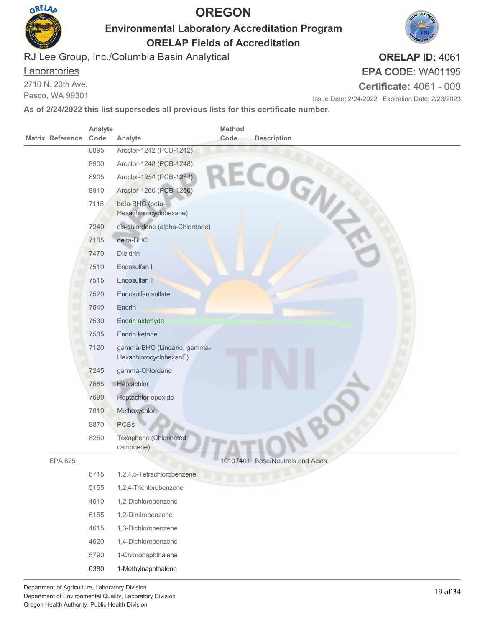

**Environmental Laboratory Accreditation Program**

**ORELAP Fields of Accreditation**

RJ Lee Group, Inc./Columbia Basin Analytical

#### **Laboratories**

2710 N. 20th Ave.

Pasco, WA 99301

#### **EPA CODE:** WA01195 **Certificate:** 4061 - 009

Issue Date: 2/24/2022 Expiration Date: 2/23/2023

**As of 2/24/2022 this list supersedes all previous lists for this certificate number.**

|                         | Analyte |                                                      | Method |                                  |
|-------------------------|---------|------------------------------------------------------|--------|----------------------------------|
| <b>Matrix Reference</b> | Code    | Analyte                                              | Code   | <b>Description</b>               |
|                         | 8895    | Aroclor-1242 (PCB-1242)                              |        |                                  |
|                         | 8900    | Aroclor-1248 (PCB-1248)                              |        |                                  |
|                         | 8905    | Aroclor-1254 (PCB-1254)                              |        |                                  |
|                         | 8910    | Aroclor-1260 (PCB-1260)                              |        |                                  |
|                         | 7115    | beta-BHC (beta-<br>Hexachlorocyclohexane)            |        | ECOGN                            |
|                         | 7240    | cis-chlordane (alpha-Chlordane)                      |        |                                  |
|                         | 7105    | delta-BHC                                            |        |                                  |
|                         | 7470    | <b>Dieldrin</b>                                      |        |                                  |
|                         | 7510    | Endosulfan I                                         |        |                                  |
|                         | 7515    | Endosulfan II                                        |        |                                  |
|                         | 7520    | Endosulfan sulfate                                   |        |                                  |
|                         | 7540    | Endrin                                               |        |                                  |
|                         | 7530    | Endrin aldehyde                                      |        |                                  |
|                         | 7535    | Endrin ketone                                        |        |                                  |
|                         | 7120    | gamma-BHC (Lindane, gamma-<br>HexachlorocyclohexanE) |        |                                  |
|                         | 7245    | gamma-Chlordane                                      |        |                                  |
|                         | 7685    | Heptachlor                                           |        |                                  |
|                         | 7690    | Heptachlor epoxide                                   |        |                                  |
|                         | 7810    | Methoxychlor                                         |        |                                  |
|                         | 8870    | <b>PCBs</b>                                          |        |                                  |
|                         | 8250    | Toxaphene (Chlorinated<br>camphene)                  |        |                                  |
| <b>EPA 625</b>          |         |                                                      |        | 10107401 Base/Neutrals and Acids |
|                         | 6715    | 1,2,4,5-Tetrachlorobenzene                           |        |                                  |
|                         | 5155    | 1,2,4-Trichlorobenzene                               |        |                                  |
|                         | 4610    | 1,2-Dichlorobenzene                                  |        |                                  |
|                         | 6155    | 1,2-Dinitrobenzene                                   |        |                                  |
|                         | 4615    | 1,3-Dichlorobenzene                                  |        |                                  |
|                         | 4620    | 1,4-Dichlorobenzene                                  |        |                                  |
|                         | 5790    | 1-Chloronaphthalene                                  |        |                                  |
|                         | 6380    | 1-Methylnaphthalene                                  |        |                                  |
|                         |         |                                                      |        |                                  |

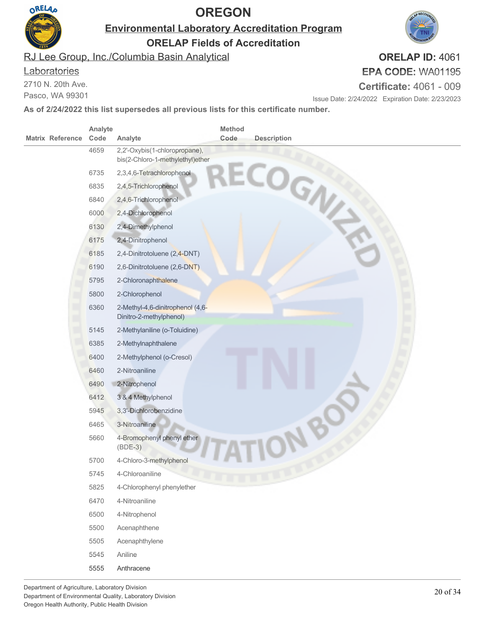

**Environmental Laboratory Accreditation Program**

**ORELAP Fields of Accreditation**

RJ Lee Group, Inc./Columbia Basin Analytical

#### **Laboratories**

2710 N. 20th Ave.

Pasco, WA 99301

#### **ORELAP ID:** 4061 **EPA CODE:** WA01195

**Certificate:** 4061 - 009

Issue Date: 2/24/2022 Expiration Date: 2/23/2023

|                         | Analyte |                                                                   | Method |                    |
|-------------------------|---------|-------------------------------------------------------------------|--------|--------------------|
| <b>Matrix Reference</b> | Code    | Analyte                                                           | Code   | <b>Description</b> |
|                         | 4659    | 2,2'-Oxybis(1-chloropropane),<br>bis(2-Chloro-1-methylethyl)ether |        | COGN               |
|                         | 6735    | 2,3,4,6-Tetrachlorophenol                                         |        |                    |
|                         | 6835    | 2,4,5-Trichlorophenol                                             |        |                    |
|                         | 6840    | 2,4,6-Trichlorophenol-                                            |        |                    |
|                         | 6000    | 2,4-Dichlorophenol                                                |        |                    |
|                         | 6130    | 2,4-Dimethylphenol                                                |        |                    |
|                         | 6175    | 2,4-Dinitrophenol                                                 |        |                    |
|                         | 6185    | 2,4-Dinitrotoluene (2,4-DNT)                                      |        |                    |
|                         | 6190    | 2,6-Dinitrotoluene (2,6-DNT)                                      |        |                    |
|                         | 5795    | 2-Chloronaphthalene                                               |        |                    |
|                         | 5800    | 2-Chlorophenol                                                    |        |                    |
|                         | 6360    | 2-Methyl-4,6-dinitrophenol (4,6-<br>Dinitro-2-methylphenol)       |        |                    |
|                         | 5145    | 2-Methylaniline (o-Toluidine)                                     |        |                    |
|                         | 6385    | 2-Methylnaphthalene                                               |        |                    |
|                         | 6400    | 2-Methylphenol (o-Cresol)                                         |        |                    |
|                         | 6460    | 2-Nitroaniline                                                    |        |                    |
|                         | 6490    | 2-Nitrophenol                                                     |        |                    |
|                         | 6412    | 3 & 4 Methylphenol                                                |        |                    |
|                         | 5945    | 3,3'-Dichlorobenzidine                                            |        |                    |
|                         | 6465    | 3-Nitroaniline                                                    |        |                    |
|                         | 5660    | 4-Bromophenyl phenyl ether<br>$(BDE-3)$                           |        |                    |
|                         | 5700    | 4-Chloro-3-methylphenol                                           |        |                    |
|                         | 5745    | 4-Chloroaniline                                                   |        |                    |
|                         | 5825    | 4-Chlorophenyl phenylether                                        |        |                    |
|                         | 6470    | 4-Nitroaniline                                                    |        |                    |
|                         | 6500    | 4-Nitrophenol                                                     |        |                    |
|                         | 5500    | Acenaphthene                                                      |        |                    |
|                         | 5505    | Acenaphthylene                                                    |        |                    |
|                         | 5545    | Aniline                                                           |        |                    |
|                         | 5555    | Anthracene                                                        |        |                    |

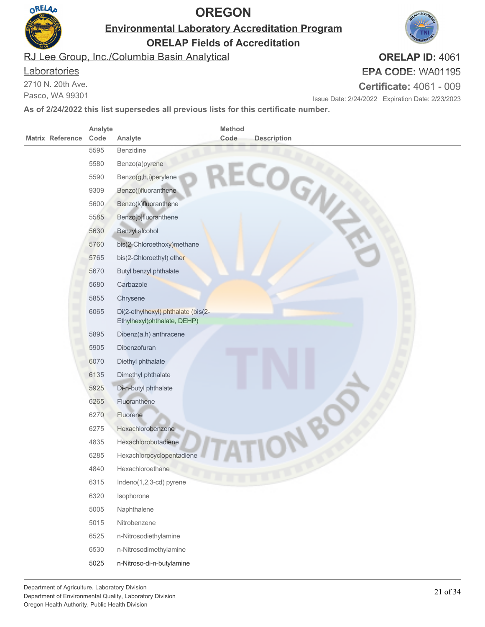

**Environmental Laboratory Accreditation Program**

**ORELAP Fields of Accreditation**

RJ Lee Group, Inc./Columbia Basin Analytical

#### **Laboratories**

2710 N. 20th Ave.

Pasco, WA 99301

### **ORELAP ID:** 4061 **EPA CODE:** WA01195

**Certificate:** 4061 - 009

Issue Date: 2/24/2022 Expiration Date: 2/23/2023

|                         | Analyte |                                                                   | Method |                    |
|-------------------------|---------|-------------------------------------------------------------------|--------|--------------------|
| <b>Matrix Reference</b> | Code    | Analyte                                                           | Code   | <b>Description</b> |
|                         | 5595    | Benzidine                                                         |        |                    |
|                         | 5580    | Benzo(a)pyrene                                                    |        |                    |
|                         | 5590    | Benzo(g,h,i)perylene                                              |        |                    |
|                         | 9309    | Benzo(j)fluoranthene                                              |        |                    |
|                         | 5600    | Benzo(k)fluoranthene                                              |        | ECOGN              |
|                         | 5585    | Benzo[b]fluoranthene                                              |        |                    |
|                         | 5630    | Benzyl alcohol                                                    |        |                    |
|                         | 5760    | bis(2-Chloroethoxy)methane                                        |        |                    |
|                         | 5765    | bis(2-Chloroethyl) ether                                          |        |                    |
|                         | 5670    | Butyl benzyl phthalate                                            |        |                    |
|                         | 5680    | Carbazole                                                         |        |                    |
|                         | 5855    | Chrysene                                                          |        |                    |
|                         | 6065    | Di(2-ethylhexyl) phthalate (bis(2-<br>Ethylhexyl)phthalate, DEHP) |        |                    |
|                         | 5895    | Dibenz(a,h) anthracene                                            |        |                    |
|                         | 5905    | Dibenzofuran                                                      |        |                    |
|                         | 6070    | Diethyl phthalate                                                 |        |                    |
|                         | 6135    | Dimethyl phthalate                                                |        |                    |
|                         | 5925    | Di-n-butyl phthalate                                              |        |                    |
|                         | 6265    | Fluoranthene                                                      |        |                    |
|                         | 6270    | Fluorene                                                          |        |                    |
|                         | 6275    | Hexachlorobenzene                                                 |        |                    |
|                         | 4835    | Hexachlorobutadiene                                               |        |                    |
|                         | 6285    | Hexachlorocyclopentadiene                                         |        |                    |
|                         | 4840    | Hexachloroethane                                                  |        |                    |
|                         | 6315    | Indeno(1,2,3-cd) pyrene                                           |        |                    |
|                         | 6320    | Isophorone                                                        |        |                    |
|                         | 5005    | Naphthalene                                                       |        |                    |
|                         | 5015    | Nitrobenzene                                                      |        |                    |
|                         | 6525    | n-Nitrosodiethylamine                                             |        |                    |
|                         | 6530    | n-Nitrosodimethylamine                                            |        |                    |
|                         | 5025    | n-Nitroso-di-n-butylamine                                         |        |                    |
|                         |         |                                                                   |        |                    |

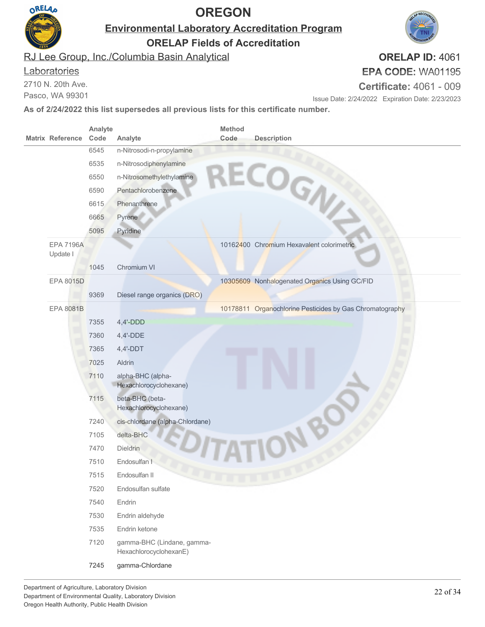

**Environmental Laboratory Accreditation Program**

**ORELAP Fields of Accreditation**

RJ Lee Group, Inc./Columbia Basin Analytical

#### **Laboratories**

2710 N. 20th Ave.

Pasco, WA 99301

# **EPA CODE:** WA01195

**Certificate:** 4061 - 009

Issue Date: 2/24/2022 Expiration Date: 2/23/2023

**As of 2/24/2022 this list supersedes all previous lists for this certificate number.**

| <b>Matrix Reference</b>      | Analyte<br>Code | Analyte                                              | Method<br>Code | <b>Description</b>                                       |
|------------------------------|-----------------|------------------------------------------------------|----------------|----------------------------------------------------------|
|                              | 6545            | n-Nitrosodi-n-propylamine                            |                |                                                          |
|                              | 6535            | n-Nitrosodiphenylamine                               |                | ECOGN                                                    |
|                              | 6550            | n-Nitrosomethylethylamine                            |                |                                                          |
|                              | 6590            | Pentachlorobenzene                                   |                |                                                          |
|                              | 6615            | Phenanthrene                                         |                |                                                          |
|                              | 6665            | Pyrene                                               |                |                                                          |
|                              | 5095            | Pyridine                                             |                |                                                          |
| <b>EPA 7196A</b><br>Update I |                 |                                                      |                | 10162400 Chromium Hexavalent colorimetric                |
|                              | 1045            | Chromium VI                                          |                |                                                          |
| <b>EPA 8015D</b>             |                 |                                                      |                | 10305609 Nonhalogenated Organics Using GC/FID            |
|                              | 9369            | Diesel range organics (DRO)                          |                |                                                          |
| <b>EPA 8081B</b>             |                 |                                                      |                | 10178811 Organochlorine Pesticides by Gas Chromatography |
|                              | 7355            | $4,4'-DDD$                                           |                |                                                          |
|                              | 7360            | $4,4'-DDE$                                           |                |                                                          |
|                              | 7365            | $4,4'$ -DDT                                          |                |                                                          |
|                              | 7025            | Aldrin                                               |                |                                                          |
|                              | 7110            | alpha-BHC (alpha-<br>Hexachlorocyclohexane)          |                |                                                          |
|                              | 7115            | beta-BHC (beta-<br>Hexachlorocyclohexane)            |                |                                                          |
|                              | 7240            | cis-chlordane (alpha-Chlordane)                      |                |                                                          |
|                              | 7105            | delta-BHC                                            |                |                                                          |
|                              | 7470            | Dieldrin                                             |                |                                                          |
|                              | 7510            | Endosulfan I                                         |                |                                                          |
|                              | 7515            | Endosulfan II                                        |                |                                                          |
|                              | 7520            | Endosulfan sulfate                                   |                |                                                          |
|                              | 7540            | Endrin                                               |                |                                                          |
|                              | 7530            | Endrin aldehyde                                      |                |                                                          |
|                              | 7535            | Endrin ketone                                        |                |                                                          |
|                              | 7120            | gamma-BHC (Lindane, gamma-<br>HexachlorocyclohexanE) |                |                                                          |
|                              | 7245            | gamma-Chlordane                                      |                |                                                          |

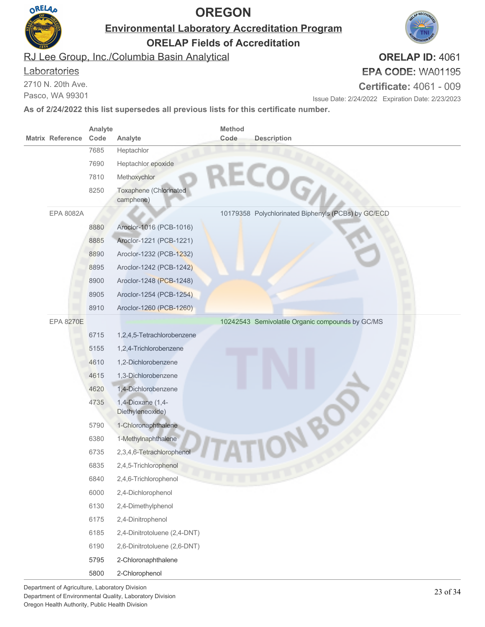

**Environmental Laboratory Accreditation Program**

**ORELAP Fields of Accreditation**

RJ Lee Group, Inc./Columbia Basin Analytical

#### **Laboratories**

2710 N. 20th Ave.

Pasco, WA 99301

# **EPA CODE:** WA01195

**Certificate:** 4061 - 009

Issue Date: 2/24/2022 Expiration Date: 2/23/2023

**As of 2/24/2022 this list supersedes all previous lists for this certificate number.**

| <b>Matrix Reference</b> | Analyte<br>Code | Analyte                               | Method<br>Code | <b>Description</b>                                  |
|-------------------------|-----------------|---------------------------------------|----------------|-----------------------------------------------------|
|                         | 7685            | Heptachlor                            |                |                                                     |
|                         | 7690            | Heptachlor epoxide                    |                |                                                     |
|                         | 7810            | Methoxychlor                          |                |                                                     |
|                         | 8250            | Toxaphene (Chlorinated                |                | <b>LECOGA</b>                                       |
|                         |                 | camphene)                             |                |                                                     |
| EPA 8082A               |                 |                                       |                | 10179358 Polychlorinated Biphenyls (PCBs) by GC/ECD |
|                         | 8880            | Aroclor-1016 (PCB-1016)               |                |                                                     |
|                         | 8885            | Aroclor-1221 (PCB-1221)               |                |                                                     |
|                         | 8890            | Aroclor-1232 (PCB-1232)               |                |                                                     |
|                         | 8895            | Aroclor-1242 (PCB-1242)               |                |                                                     |
|                         | 8900            | Aroclor-1248 (PCB-1248)               |                |                                                     |
|                         | 8905            | Aroclor-1254 (PCB-1254)               |                |                                                     |
|                         | 8910            | Aroclor-1260 (PCB-1260)               |                |                                                     |
| <b>EPA 8270E</b>        |                 |                                       |                | 10242543 Semivolatile Organic compounds by GC/MS    |
|                         | 6715            | 1,2,4,5-Tetrachlorobenzene            |                |                                                     |
|                         | 5155            | 1,2,4-Trichlorobenzene                |                |                                                     |
|                         | 4610            | 1,2-Dichlorobenzene                   |                |                                                     |
|                         | 4615            | 1,3-Dichlorobenzene                   |                |                                                     |
|                         | 4620            | 1,4-Dichlorobenzene                   |                |                                                     |
|                         | 4735            | 1,4-Dioxane (1,4-<br>Diethyleneoxide) |                |                                                     |
|                         | 5790            | 1-Chloronaphthalene                   |                |                                                     |
|                         | 6380            | 1-Methylnaphthalene                   |                |                                                     |
|                         | 6735            | 2,3,4,6-Tetrachlorophenol             |                |                                                     |
|                         | 6835            | 2,4,5-Trichlorophenol                 |                |                                                     |
|                         | 6840            | 2,4,6-Trichlorophenol                 |                |                                                     |
|                         | 6000            | 2,4-Dichlorophenol                    |                |                                                     |
|                         | 6130            | 2,4-Dimethylphenol                    |                |                                                     |
|                         | 6175            | 2,4-Dinitrophenol                     |                |                                                     |
|                         | 6185            | 2,4-Dinitrotoluene (2,4-DNT)          |                |                                                     |
|                         | 6190            | 2,6-Dinitrotoluene (2,6-DNT)          |                |                                                     |
|                         | 5795            | 2-Chloronaphthalene                   |                |                                                     |
|                         | 5800            | 2-Chlorophenol                        |                |                                                     |

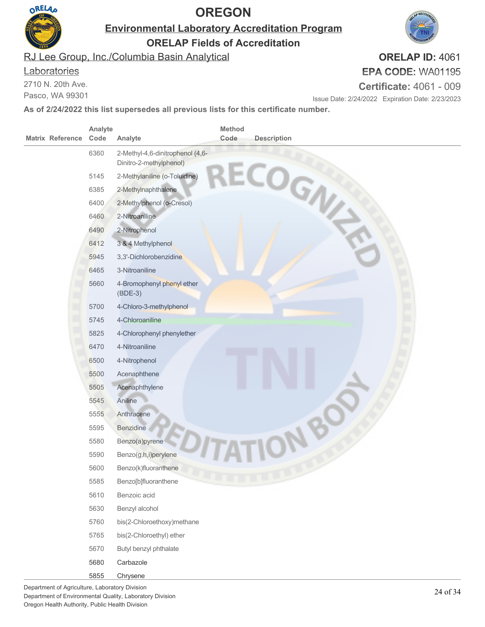

**Environmental Laboratory Accreditation Program**

**ORELAP Fields of Accreditation**

RJ Lee Group, Inc./Columbia Basin Analytical

#### **Laboratories**

2710 N. 20th Ave.

Pasco, WA 99301

#### **ORELAP ID:** 4061 **EPA CODE:** WA01195

**Certificate:** 4061 - 009

Issue Date: 2/24/2022 Expiration Date: 2/23/2023

| <b>Matrix Reference</b> | Analyte<br>Code | Analyte                                 | <b>Method</b><br>Code | <b>Description</b> |
|-------------------------|-----------------|-----------------------------------------|-----------------------|--------------------|
|                         | 6360            | 2-Methyl-4,6-dinitrophenol (4,6-        |                       |                    |
|                         |                 | Dinitro-2-methylphenol)                 |                       |                    |
|                         | 5145            | 2-Methylaniline (o-Toluidine)           |                       |                    |
|                         | 6385            | 2-Methylnaphthalene                     |                       |                    |
|                         | 6400            | 2-Methylphenol (o-Cresol)               |                       | ECOGN              |
|                         | 6460            | 2-Nitroaniline                          |                       |                    |
|                         | 6490            | 2-Nitrophenol                           |                       |                    |
|                         | 6412            | 3 & 4 Methylphenol                      |                       |                    |
|                         | 5945            | 3,3'-Dichlorobenzidine                  |                       |                    |
|                         | 6465            | 3-Nitroaniline                          |                       |                    |
|                         | 5660            | 4-Bromophenyl phenyl ether<br>$(BDE-3)$ |                       |                    |
|                         | 5700            | 4-Chloro-3-methylphenol                 |                       |                    |
|                         | 5745            | 4-Chloroaniline                         |                       |                    |
|                         | 5825            | 4-Chlorophenyl phenylether              |                       |                    |
|                         | 6470            | 4-Nitroaniline                          |                       |                    |
|                         | 6500            | 4-Nitrophenol                           |                       |                    |
|                         | 5500            | Acenaphthene                            |                       |                    |
|                         | 5505            | Acenaphthylene                          |                       |                    |
|                         | 5545            | Aniline                                 |                       |                    |
|                         | 5555            | Anthracene                              |                       |                    |
|                         | 5595            | Benzidine                               |                       |                    |
|                         | 5580            | Benzo(a)pyrene                          |                       |                    |
|                         | 5590            | Benzo(g,h,i)perylene                    |                       |                    |
|                         | 5600            | Benzo(k)fluoranthene                    |                       |                    |
|                         | 5585            | Benzo[b]fluoranthene                    |                       |                    |
|                         | 5610            | Benzoic acid                            |                       |                    |
|                         | 5630            | Benzyl alcohol                          |                       |                    |
|                         | 5760            | bis(2-Chloroethoxy)methane              |                       |                    |
|                         | 5765            | bis(2-Chloroethyl) ether                |                       |                    |
|                         | 5670            | Butyl benzyl phthalate                  |                       |                    |
|                         | 5680            | Carbazole                               |                       |                    |
|                         | 5855            | Chrysene                                |                       |                    |

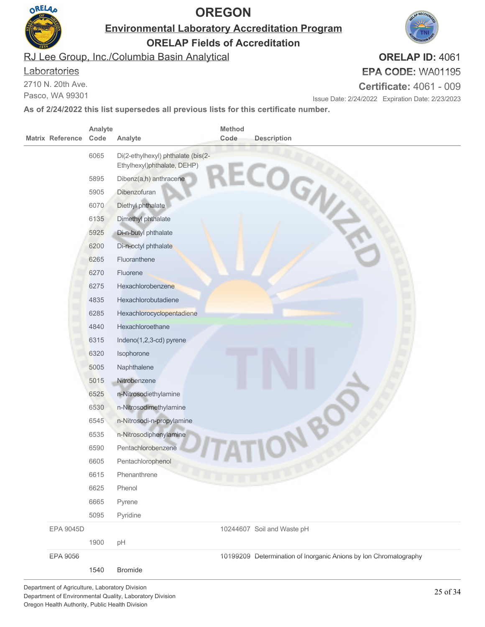

**Environmental Laboratory Accreditation Program**

**ORELAP Fields of Accreditation**

RJ Lee Group, Inc./Columbia Basin Analytical

#### **Laboratories**

2710 N. 20th Ave.

Pasco, WA 99301

# **ORELAP ID:** 4061

**EPA CODE:** WA01195

**Certificate:** 4061 - 009

Issue Date: 2/24/2022 Expiration Date: 2/23/2023

| <b>Matrix Reference</b> |                  | Analyte<br>Code | Analyte                            | Method<br>Code | <b>Description</b>                                               |
|-------------------------|------------------|-----------------|------------------------------------|----------------|------------------------------------------------------------------|
|                         |                  | 6065            | Di(2-ethylhexyl) phthalate (bis(2- |                |                                                                  |
|                         |                  |                 | Ethylhexyl)phthalate, DEHP)        |                | ECOGN                                                            |
|                         |                  | 5895            | Dibenz(a,h) anthracene             |                |                                                                  |
|                         |                  | 5905            | Dibenzofuran                       |                |                                                                  |
|                         |                  | 6070            | Diethyl phthalate                  |                |                                                                  |
|                         |                  | 6135            | Dimethyl phthalate                 |                |                                                                  |
|                         |                  | 5925            | Di-n-butyl phthalate               |                |                                                                  |
|                         |                  | 6200            | Di-n-octyl phthalate               |                |                                                                  |
|                         |                  | 6265            | Fluoranthene                       |                |                                                                  |
|                         |                  | 6270            | Fluorene                           |                |                                                                  |
|                         |                  | 6275            | Hexachlorobenzene                  |                |                                                                  |
|                         |                  | 4835            | Hexachlorobutadiene                |                |                                                                  |
|                         |                  | 6285            | Hexachlorocyclopentadiene          |                |                                                                  |
|                         |                  | 4840            | Hexachloroethane                   |                |                                                                  |
|                         |                  | 6315            | Indeno(1,2,3-cd) pyrene            |                |                                                                  |
|                         |                  | 6320            | Isophorone                         |                |                                                                  |
|                         |                  | 5005            | Naphthalene                        |                |                                                                  |
|                         |                  | 5015            | Nitrobenzene                       |                |                                                                  |
|                         |                  | 6525            | n-Nitrosodiethylamine              |                |                                                                  |
|                         |                  | 6530            | n-Nitrosodimethylamine             |                |                                                                  |
|                         |                  | 6545            | n-Nitrosodi-n-propylamine          |                |                                                                  |
|                         |                  | 6535            | n-Nitrosodiphenylamine             |                |                                                                  |
|                         |                  | 6590            | Pentachlorobenzene                 |                |                                                                  |
|                         |                  | 6605            | Pentachlorophenol                  |                |                                                                  |
|                         |                  | 6615            | Phenanthrene                       |                |                                                                  |
|                         |                  | 6625            | Phenol                             |                |                                                                  |
|                         |                  | 6665            | Pyrene                             |                |                                                                  |
|                         |                  | 5095            | Pyridine                           |                |                                                                  |
|                         | <b>EPA 9045D</b> |                 |                                    |                | 10244607 Soil and Waste pH                                       |
|                         |                  | 1900            | pH                                 |                |                                                                  |
|                         | EPA 9056         |                 |                                    |                | 10199209 Determination of Inorganic Anions by Ion Chromatography |
|                         |                  | 1540            | <b>Bromide</b>                     |                |                                                                  |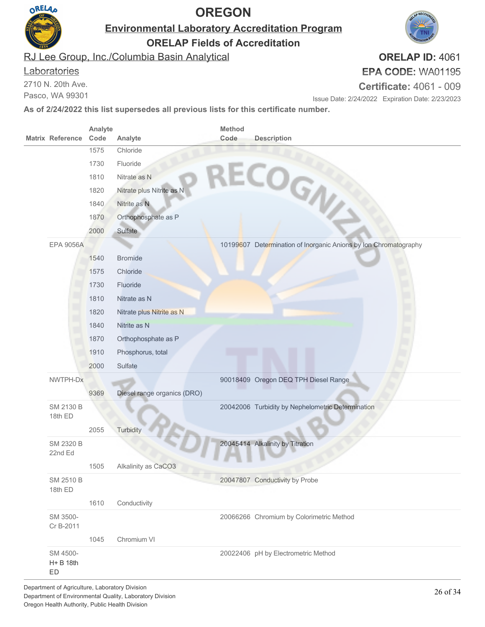

**Environmental Laboratory Accreditation Program**

**ORELAP Fields of Accreditation**

RJ Lee Group, Inc./Columbia Basin Analytical

#### **Laboratories**

2710 N. 20th Ave.

Pasco, WA 99301

# **EPA CODE:** WA01195

**Certificate:** 4061 - 009

Issue Date: 2/24/2022 Expiration Date: 2/23/2023

**As of 2/24/2022 this list supersedes all previous lists for this certificate number.**

|                         | Analyte |                             | <b>Method</b> |                                                                  |
|-------------------------|---------|-----------------------------|---------------|------------------------------------------------------------------|
| <b>Matrix Reference</b> | Code    | Analyte                     | Code          | <b>Description</b>                                               |
|                         | 1575    | Chloride                    |               |                                                                  |
|                         | 1730    | Fluoride                    |               |                                                                  |
|                         | 1810    | Nitrate as N                |               |                                                                  |
|                         | 1820    | Nitrate plus Nitrite as N   |               |                                                                  |
|                         | 1840    | Nitrite as N                |               | RECOGN                                                           |
|                         | 1870    | Orthophosphate as P         |               |                                                                  |
|                         | 2000    | Sulfate                     |               |                                                                  |
| <b>EPA 9056A</b>        |         |                             |               | 10199607 Determination of Inorganic Anions by Ion Chromatography |
|                         | 1540    | <b>Bromide</b>              |               |                                                                  |
|                         | 1575    | Chloride                    |               |                                                                  |
|                         | 1730    | Fluoride                    |               |                                                                  |
|                         | 1810    | Nitrate as N                |               |                                                                  |
|                         | 1820    | Nitrate plus Nitrite as N   |               |                                                                  |
|                         | 1840    | Nitrite as N                |               |                                                                  |
|                         | 1870    | Orthophosphate as P         |               |                                                                  |
|                         | 1910    | Phosphorus, total           |               |                                                                  |
|                         | 2000    | Sulfate                     |               |                                                                  |
| NWTPH-Dx                |         |                             |               | 90018409 Oregon DEQ TPH Diesel Range                             |
|                         | 9369    | Diesel range organics (DRO) |               |                                                                  |
| SM 2130 B               |         |                             |               | 20042006 Turbidity by Nephelometric Determination                |
| 18th ED                 |         |                             |               |                                                                  |
|                         | 2055    | Turbidity                   |               |                                                                  |
| SM 2320 B               |         |                             |               | 20045414 Alkalinity by Titration                                 |
| 22nd Ed                 |         |                             |               |                                                                  |
|                         | 1505    | Alkalinity as CaCO3         |               |                                                                  |
| SM 2510 B<br>18th ED    |         |                             |               | 20047807 Conductivity by Probe                                   |
|                         | 1610    | Conductivity                |               |                                                                  |
| SM 3500-                |         |                             |               | 20066266 Chromium by Colorimetric Method                         |
| Cr B-2011               |         |                             |               |                                                                  |
|                         | 1045    | Chromium VI                 |               |                                                                  |
| SM 4500-                |         |                             |               | 20022406 pH by Electrometric Method                              |
| $H + B$ 18th            |         |                             |               |                                                                  |
| ED                      |         |                             |               |                                                                  |

Department of Agriculture, Laboratory Division Department of Environmental Quality, Laboratory Division Oregon Health Authority, Public Health Division

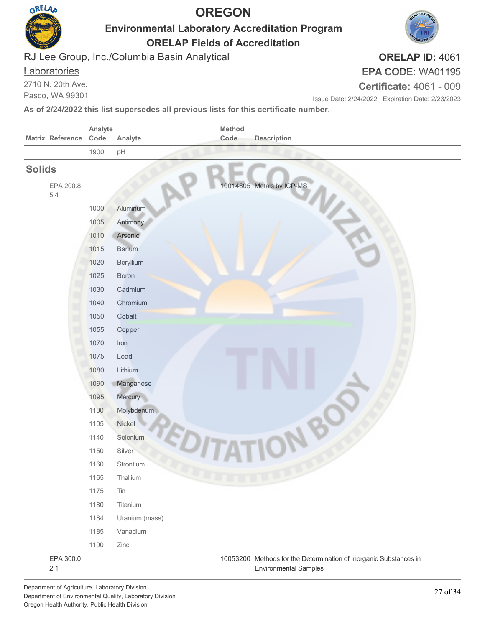

**Environmental Laboratory Accreditation Program**

**ORELAP Fields of Accreditation**

RJ Lee Group, Inc./Columbia Basin Analytical

#### **Laboratories**

2710 N. 20th Ave.

Pasco, WA 99301

# **EPA CODE:** WA01195

**Certificate:** 4061 - 009

Issue Date: 2/24/2022 Expiration Date: 2/23/2023

**As of 2/24/2022 this list supersedes all previous lists for this certificate number.**

|                         | Analyte |                | Method                                                                                            |
|-------------------------|---------|----------------|---------------------------------------------------------------------------------------------------|
| <b>Matrix Reference</b> | Code    | Analyte        | Code<br><b>Description</b>                                                                        |
|                         | 1900    | pH             |                                                                                                   |
| <b>Solids</b>           |         |                |                                                                                                   |
| EPA 200.8<br>5.4        |         |                | 10014605 Metals by ICP-MS                                                                         |
|                         | 1000    | Aluminum       |                                                                                                   |
|                         | 1005    | Antimony       |                                                                                                   |
|                         | 1010    | Arsenic        |                                                                                                   |
|                         | 1015    | <b>Barium</b>  |                                                                                                   |
|                         | 1020    | Beryllium      |                                                                                                   |
|                         | 1025    | <b>Boron</b>   |                                                                                                   |
|                         | 1030    | Cadmium        |                                                                                                   |
|                         | 1040    | Chromium       |                                                                                                   |
|                         | 1050    | Cobalt         |                                                                                                   |
|                         | 1055    | Copper         |                                                                                                   |
|                         | 1070    | Iron           |                                                                                                   |
|                         | 1075    | Lead           |                                                                                                   |
|                         | 1080    | Lithium        |                                                                                                   |
|                         | 1090    | Manganese      |                                                                                                   |
|                         | 1095    | Mercury        |                                                                                                   |
|                         | 1100    | Molybdenum     |                                                                                                   |
|                         | 1105    | Nickel         |                                                                                                   |
|                         | 1140    | Selenium       |                                                                                                   |
|                         | 1150    | Silver         |                                                                                                   |
|                         | 1160    | Strontium      |                                                                                                   |
|                         | 1165    | Thallium       |                                                                                                   |
|                         | 1175    | Tin            |                                                                                                   |
|                         | 1180    | Titanium       |                                                                                                   |
|                         | 1184    | Uranium (mass) |                                                                                                   |
|                         | 1185    | Vanadium       |                                                                                                   |
|                         | 1190    | Zinc           |                                                                                                   |
| EPA 300.0<br>2.1        |         |                | 10053200 Methods for the Determination of Inorganic Substances in<br><b>Environmental Samples</b> |

Department of Agriculture, Laboratory Division Department of Environmental Quality, Laboratory Division Oregon Health Authority, Public Health Division

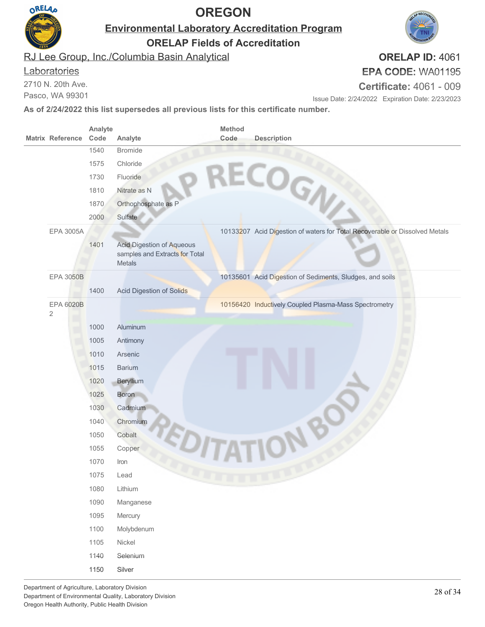

**Environmental Laboratory Accreditation Program**

**ORELAP Fields of Accreditation**

RJ Lee Group, Inc./Columbia Basin Analytical

#### **Laboratories**

2710 N. 20th Ave.

Pasco, WA 99301

# **EPA CODE:** WA01195

**Certificate:** 4061 - 009

Issue Date: 2/24/2022 Expiration Date: 2/23/2023

**As of 2/24/2022 this list supersedes all previous lists for this certificate number.**

|                         | Analyte      |                                                                                     | Method |                                                                             |
|-------------------------|--------------|-------------------------------------------------------------------------------------|--------|-----------------------------------------------------------------------------|
| <b>Matrix Reference</b> | Code<br>1540 | Analyte                                                                             | Code   | <b>Description</b>                                                          |
|                         |              | <b>Bromide</b>                                                                      |        |                                                                             |
|                         | 1575         | Chloride                                                                            |        |                                                                             |
|                         | 1730         | Fluoride                                                                            |        |                                                                             |
|                         | 1810         | Nitrate as N                                                                        |        | RECOGN                                                                      |
|                         | 1870         | Orthophosphate as P                                                                 |        |                                                                             |
|                         | 2000         | Sulfate                                                                             |        |                                                                             |
| <b>EPA 3005A</b>        |              |                                                                                     |        | 10133207 Acid Digestion of waters for Total Recoverable or Dissolved Metals |
|                         | 1401         | <b>Acid Digestion of Aqueous</b><br>samples and Extracts for Total<br><b>Metals</b> |        |                                                                             |
| <b>EPA 3050B</b>        |              |                                                                                     |        | 10135601 Acid Digestion of Sediments, Sludges, and soils                    |
|                         | 1400         | <b>Acid Digestion of Solids</b>                                                     |        |                                                                             |
| EPA 6020B<br>$\sqrt{2}$ |              |                                                                                     |        | 10156420 Inductively Coupled Plasma-Mass Spectrometry                       |
|                         | 1000         | Aluminum                                                                            |        |                                                                             |
|                         | 1005         | Antimony                                                                            |        |                                                                             |
|                         | 1010         | Arsenic                                                                             |        |                                                                             |
|                         | 1015         | <b>Barium</b>                                                                       |        |                                                                             |
|                         | 1020         | Beryllium                                                                           |        |                                                                             |
|                         | 1025         | <b>Boron</b>                                                                        |        |                                                                             |
|                         | 1030         | Cadmium                                                                             |        |                                                                             |
|                         | 1040         | Chromium                                                                            |        |                                                                             |
|                         | 1050         | Cobalt                                                                              |        |                                                                             |
|                         | 1055         | Copper                                                                              |        |                                                                             |
|                         | 1070         | Iron                                                                                |        |                                                                             |
|                         | 1075         | Lead                                                                                |        |                                                                             |
|                         | 1080         | Lithium                                                                             |        |                                                                             |
|                         | 1090         | Manganese                                                                           |        |                                                                             |
|                         | 1095         | Mercury                                                                             |        |                                                                             |
|                         | 1100         | Molybdenum                                                                          |        |                                                                             |
|                         | 1105         | Nickel                                                                              |        |                                                                             |
|                         | 1140         | Selenium                                                                            |        |                                                                             |
|                         | 1150         | Silver                                                                              |        |                                                                             |
|                         |              |                                                                                     |        |                                                                             |

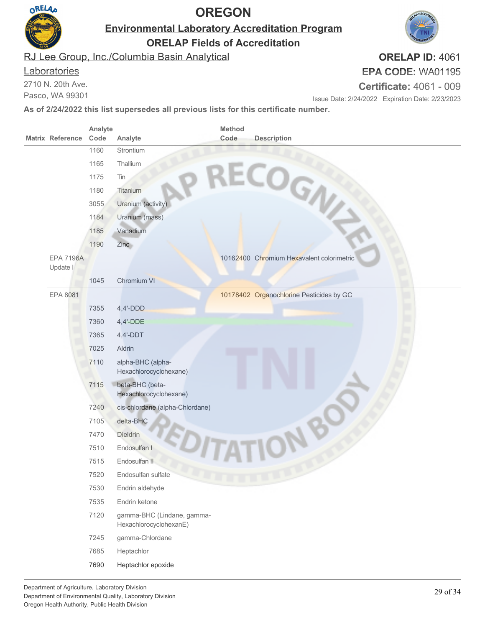

**Environmental Laboratory Accreditation Program**

**ORELAP Fields of Accreditation**

RJ Lee Group, Inc./Columbia Basin Analytical

#### **Laboratories**

2710 N. 20th Ave.

Pasco, WA 99301

# **EPA CODE:** WA01195

**Certificate:** 4061 - 009

Issue Date: 2/24/2022 Expiration Date: 2/23/2023

**As of 2/24/2022 this list supersedes all previous lists for this certificate number.**

|  | <b>Matrix Reference</b>      | Analyte<br>Code | Analyte                                              | Method<br>Code | <b>Description</b>                        |
|--|------------------------------|-----------------|------------------------------------------------------|----------------|-------------------------------------------|
|  |                              | 1160            | Strontium                                            |                | RECOGN                                    |
|  |                              | 1165            | Thallium                                             |                |                                           |
|  |                              | 1175            | Tin                                                  |                |                                           |
|  |                              | 1180            | Titanium                                             |                |                                           |
|  |                              | 3055            | Uranium (activity)                                   |                |                                           |
|  |                              | 1184            | Uranium (mass)                                       |                |                                           |
|  |                              | 1185            | Vanadium                                             |                |                                           |
|  |                              | 1190            | Zinc                                                 |                |                                           |
|  | <b>EPA 7196A</b><br>Update I |                 |                                                      |                | 10162400 Chromium Hexavalent colorimetric |
|  |                              | 1045            | Chromium VI                                          |                |                                           |
|  | EPA 8081                     |                 |                                                      |                | 10178402 Organochlorine Pesticides by GC  |
|  |                              | 7355            | $4,4'-DDD$                                           |                |                                           |
|  |                              | 7360            | $4,4'-DDE$                                           |                |                                           |
|  |                              | 7365            | $4,4'-DDT$                                           |                |                                           |
|  |                              | 7025            | Aldrin                                               |                |                                           |
|  |                              | 7110            | alpha-BHC (alpha-<br>Hexachlorocyclohexane)          |                |                                           |
|  |                              | 7115            | beta-BHC (beta-<br>Hexachlorocyclohexane)            |                |                                           |
|  |                              | 7240            | cis-chlordane (alpha-Chlordane)                      |                |                                           |
|  |                              | 7105            | delta-BHC                                            |                |                                           |
|  |                              | 7470            | Dieldrin                                             |                |                                           |
|  |                              | 7510            | Endosulfan I                                         |                |                                           |
|  |                              | 7515            | Endosulfan II                                        |                |                                           |
|  |                              | 7520            | Endosulfan sulfate                                   |                |                                           |
|  |                              | 7530            | Endrin aldehyde                                      |                |                                           |
|  |                              | 7535            | Endrin ketone                                        |                |                                           |
|  |                              | 7120            | gamma-BHC (Lindane, gamma-<br>HexachlorocyclohexanE) |                |                                           |
|  |                              | 7245            | gamma-Chlordane                                      |                |                                           |
|  |                              | 7685            | Heptachlor                                           |                |                                           |
|  |                              | 7690            | Heptachlor epoxide                                   |                |                                           |

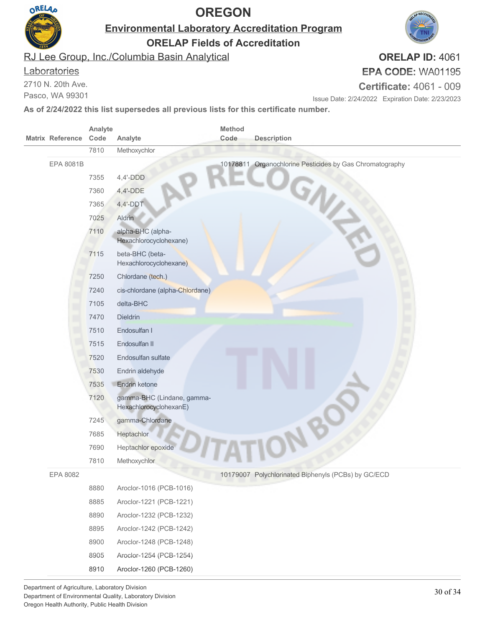

**Environmental Laboratory Accreditation Program**

**ORELAP Fields of Accreditation**

RJ Lee Group, Inc./Columbia Basin Analytical

#### **Laboratories**

2710 N. 20th Ave.

Pasco, WA 99301

### **ORELAP ID:** 4061 **EPA CODE:** WA01195

**Certificate:** 4061 - 009

Issue Date: 2/24/2022 Expiration Date: 2/23/2023

|                         | Analyte |                                                      | Method |                                                          |
|-------------------------|---------|------------------------------------------------------|--------|----------------------------------------------------------|
| <b>Matrix Reference</b> | Code    | Analyte                                              | Code   | <b>Description</b>                                       |
|                         | 7810    | Methoxychlor                                         |        |                                                          |
| EPA 8081B               |         |                                                      |        | 10178811 Organochlorine Pesticides by Gas Chromatography |
|                         | 7355    | $4,4'-DDD$                                           |        |                                                          |
|                         | 7360    | $4,4'-DDE$                                           |        |                                                          |
|                         | 7365    | $4,4'-DDT$                                           |        |                                                          |
|                         | 7025    | Aldrin                                               |        |                                                          |
|                         | 7110    | alpha-BHC (alpha-<br>Hexachlorocyclohexane)          |        |                                                          |
|                         | 7115    | beta-BHC (beta-<br>Hexachlorocyclohexane)            |        |                                                          |
|                         | 7250    | Chlordane (tech.)                                    |        |                                                          |
|                         | 7240    | cis-chlordane (alpha-Chlordane)                      |        |                                                          |
|                         | 7105    | delta-BHC                                            |        |                                                          |
|                         | 7470    | <b>Dieldrin</b>                                      |        |                                                          |
|                         | 7510    | Endosulfan I                                         |        |                                                          |
|                         | 7515    | Endosulfan II                                        |        |                                                          |
|                         | 7520    | Endosulfan sulfate                                   |        |                                                          |
|                         | 7530    | Endrin aldehyde                                      |        |                                                          |
|                         | 7535    | Endrin ketone                                        |        |                                                          |
|                         | 7120    | gamma-BHC (Lindane, gamma-<br>HexachlorocyclohexanE) |        |                                                          |
|                         | 7245    | gamma-Chlordane                                      |        |                                                          |
|                         | 7685    | <b>Heptachlor</b>                                    |        |                                                          |
|                         | 7690    | Heptachlor epoxide                                   |        |                                                          |
|                         | 7810    | Methoxychlor                                         |        |                                                          |
| EPA 8082                |         |                                                      |        | 10179007 Polychlorinated Biphenyls (PCBs) by GC/ECD      |
|                         | 8880    | Aroclor-1016 (PCB-1016)                              |        |                                                          |
|                         | 8885    | Aroclor-1221 (PCB-1221)                              |        |                                                          |
|                         | 8890    | Aroclor-1232 (PCB-1232)                              |        |                                                          |
|                         | 8895    | Aroclor-1242 (PCB-1242)                              |        |                                                          |
|                         | 8900    | Aroclor-1248 (PCB-1248)                              |        |                                                          |
|                         | 8905    | Aroclor-1254 (PCB-1254)                              |        |                                                          |
|                         | 8910    | Aroclor-1260 (PCB-1260)                              |        |                                                          |

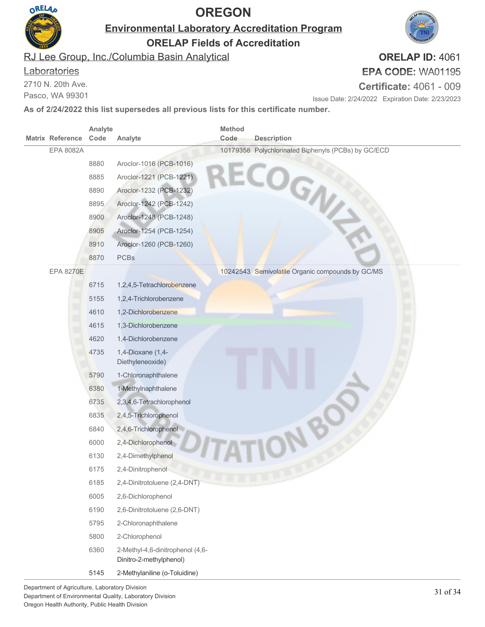

#### **Laboratories**

| OKELA |                         |         | <b>OREGON</b>                                                                                  | AP RECO                        |                                                     |                                                  |
|-------|-------------------------|---------|------------------------------------------------------------------------------------------------|--------------------------------|-----------------------------------------------------|--------------------------------------------------|
|       |                         |         | <b>Environmental Laboratory Accreditation Program</b><br><b>ORELAP Fields of Accreditation</b> |                                |                                                     |                                                  |
|       |                         |         | RJ Lee Group, Inc./Columbia Basin Analytical                                                   |                                |                                                     | ORELAP ID: 406                                   |
|       | Laboratories            |         |                                                                                                |                                |                                                     | EPA CODE: WA01195                                |
|       | 2710 N. 20th Ave.       |         |                                                                                                | <b>Certificate: 4061 - 009</b> |                                                     |                                                  |
|       | Pasco, WA 99301         |         |                                                                                                |                                |                                                     | Issue Date: 2/24/2022 Expiration Date: 2/23/2023 |
|       |                         |         | As of 2/24/2022 this list supersedes all previous lists for this certificate number.           |                                |                                                     |                                                  |
|       |                         | Analyte |                                                                                                | <b>Method</b>                  |                                                     |                                                  |
|       | <b>Matrix Reference</b> | Code    | Analyte                                                                                        | Code                           | <b>Description</b>                                  |                                                  |
|       | EPA 8082A               |         |                                                                                                |                                | 10179358 Polychlorinated Biphenyls (PCBs) by GC/ECD |                                                  |
|       |                         | 8880    | Aroclor-1016 (PCB-1016)                                                                        |                                | ECOGN                                               |                                                  |
|       |                         | 8885    | Aroclor-1221 (PCB-1221)                                                                        |                                |                                                     |                                                  |
|       |                         | 8890    | Aroclor-1232 (PCB-1232)                                                                        |                                |                                                     |                                                  |
|       |                         | 8895    | Aroclor-1242 (PCB-1242)                                                                        |                                |                                                     |                                                  |
|       |                         | 8900    | Aroclor-1248 (PCB-1248)                                                                        |                                |                                                     |                                                  |
|       |                         | 8905    | Aroclor-1254 (PCB-1254)                                                                        |                                |                                                     |                                                  |
|       |                         | 8910    | Aroclor-1260 (PCB-1260)                                                                        |                                |                                                     |                                                  |
|       |                         | 8870    | <b>PCBs</b>                                                                                    |                                |                                                     |                                                  |
|       | <b>EPA 8270E</b>        |         |                                                                                                |                                | 10242543 Semivolatile Organic compounds by GC/MS    |                                                  |
|       |                         | 6715    | 1,2,4,5-Tetrachlorobenzene                                                                     |                                |                                                     |                                                  |
|       |                         | 5155    | 1,2,4-Trichlorobenzene                                                                         |                                |                                                     |                                                  |
|       |                         | 4610    | 1,2-Dichlorobenzene                                                                            |                                |                                                     |                                                  |
|       |                         | 4615    | 1,3-Dichlorobenzene                                                                            |                                |                                                     |                                                  |
|       |                         | 4620    | 1,4-Dichlorobenzene                                                                            |                                |                                                     |                                                  |
|       |                         | 4735    | 1,4-Dioxane (1,4-                                                                              |                                |                                                     |                                                  |
|       |                         |         | Diethyleneoxide)                                                                               |                                |                                                     |                                                  |
|       |                         | 5790    | 1-Chloronaphthalene                                                                            |                                |                                                     |                                                  |
|       |                         | 6380    | 1-Methylnaphthalene                                                                            |                                |                                                     |                                                  |
|       |                         | 6735    | 2,3,4,6-Tetrachlorophenol                                                                      |                                |                                                     |                                                  |
|       |                         | 6835    | 2,4,5-Trichlorophenol                                                                          |                                |                                                     |                                                  |
|       |                         | 6840    | 2,4,6-Trichlorophenol                                                                          |                                |                                                     |                                                  |
|       |                         | 6000    | 2,4-Dichlorophenol                                                                             |                                |                                                     |                                                  |
|       |                         | 6130    | 2,4-Dimethylphenol                                                                             |                                |                                                     |                                                  |
|       |                         | 6175    | 2,4-Dinitrophenol                                                                              |                                |                                                     |                                                  |
|       |                         | 6185    | 2,4-Dinitrotoluene (2,4-DNT)                                                                   |                                |                                                     |                                                  |
|       |                         | 6005    | 2,6-Dichlorophenol                                                                             |                                |                                                     |                                                  |
|       |                         | 6190    | 2,6-Dinitrotoluene (2,6-DNT)                                                                   |                                |                                                     |                                                  |
|       |                         | 5795    | 2-Chloronaphthalene                                                                            |                                |                                                     |                                                  |
|       |                         | 5800    | 2-Chlorophenol                                                                                 |                                |                                                     |                                                  |
|       |                         | 6360    | 2-Methyl-4,6-dinitrophenol (4,6-                                                               |                                |                                                     |                                                  |
|       |                         |         | Dinitro-2-methylphenol)                                                                        |                                |                                                     |                                                  |
|       |                         | 5145    | 2-Methylaniline (o-Toluidine)                                                                  |                                |                                                     |                                                  |

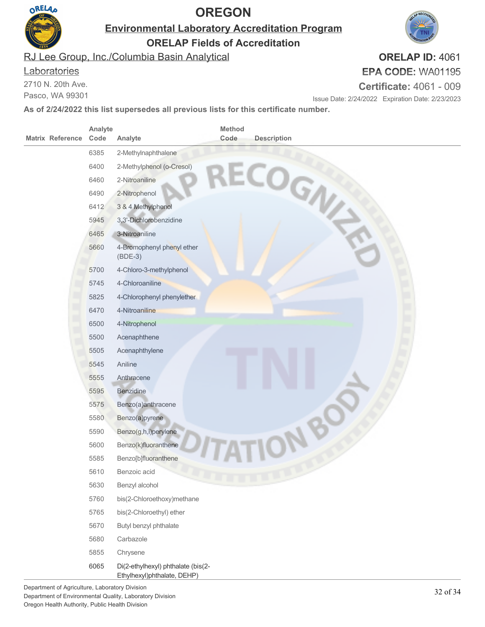

**Environmental Laboratory Accreditation Program**

**ORELAP Fields of Accreditation**

RJ Lee Group, Inc./Columbia Basin Analytical

#### **Laboratories**

2710 N. 20th Ave.

Pasco, WA 99301

# **EPA CODE:** WA01195

**Certificate:** 4061 - 009

Issue Date: 2/24/2022 Expiration Date: 2/23/2023

**As of 2/24/2022 this list supersedes all previous lists for this certificate number.**

| <b>Matrix Reference</b> | Analyte<br>Code | Analyte                                      | Method<br>Code | <b>Description</b> |
|-------------------------|-----------------|----------------------------------------------|----------------|--------------------|
|                         | 6385            | 2-Methylnaphthalene                          |                | ECOGN              |
|                         | 6400            | 2-Methylphenol (o-Cresol)                    |                |                    |
|                         | 6460            | 2-Nitroaniline                               |                |                    |
|                         | 6490            | 2-Nitrophenol                                |                |                    |
|                         | 6412            | 3 & 4 Methylphenol                           |                |                    |
|                         | 5945            | 3,3'-Dichlorobenzidine                       |                |                    |
|                         | 6465            | 3-Nitroaniline                               |                |                    |
|                         | 5660            | 4-Bromophenyl phenyl ether<br>$(BDE-3)$      |                |                    |
|                         | 5700            | 4-Chloro-3-methylphenol                      |                |                    |
|                         | 5745            | 4-Chloroaniline                              |                |                    |
|                         | 5825            | 4-Chlorophenyl phenylether                   |                |                    |
|                         | 6470            | 4-Nitroaniline                               |                |                    |
|                         | 6500            | 4-Nitrophenol                                |                |                    |
|                         | 5500            | Acenaphthene                                 |                |                    |
|                         | 5505            | Acenaphthylene                               |                |                    |
|                         | 5545            | Aniline                                      |                |                    |
|                         | 5555            | Anthracene                                   |                |                    |
|                         | 5595            | Benzidine                                    |                |                    |
|                         | 5575            | Benzo(a)anthracene                           |                |                    |
|                         | 5580            | Benzo(a)pyrene                               |                |                    |
|                         | 5590            | Benzo(g,h,i)perylene                         |                |                    |
|                         | 5600            | Benzo(k)fluoranthene                         |                |                    |
|                         | 5585            | Benzo[b]fluoranthene                         |                |                    |
|                         | 5610            | Benzoic acid                                 |                |                    |
|                         | 5630<br>5760    | Benzyl alcohol<br>bis(2-Chloroethoxy)methane |                |                    |
|                         | 5765            | bis(2-Chloroethyl) ether                     |                |                    |
|                         | 5670            | Butyl benzyl phthalate                       |                |                    |
|                         | 5680            | Carbazole                                    |                |                    |
|                         | 5855            | Chrysene                                     |                |                    |
|                         | 6065            | Di(2-ethylhexyl) phthalate (bis(2-           |                |                    |
|                         |                 | Ethylhexyl)phthalate, DEHP)                  |                |                    |

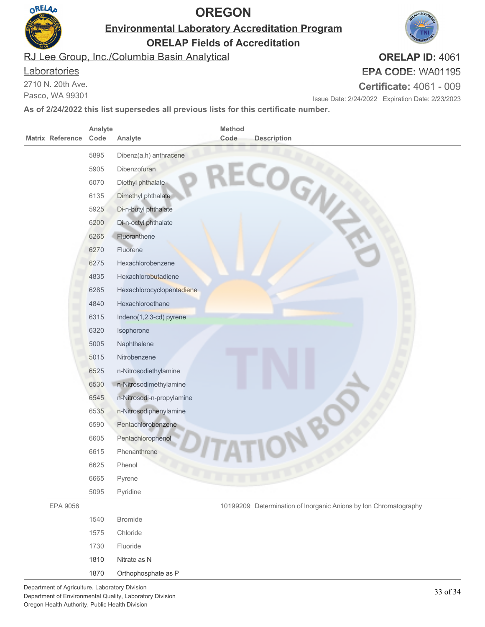

**Environmental Laboratory Accreditation Program**

**ORELAP Fields of Accreditation**

RJ Lee Group, Inc./Columbia Basin Analytical

#### **Laboratories**

2710 N. 20th Ave.

Pasco, WA 99301

# **ORELAP ID:** 4061

**EPA CODE:** WA01195

**Certificate:** 4061 - 009

Issue Date: 2/24/2022 Expiration Date: 2/23/2023

| <b>Matrix Reference</b> | Analyte<br>Code | <b>Method</b><br>Code<br>Analyte | <b>Description</b>                                               |
|-------------------------|-----------------|----------------------------------|------------------------------------------------------------------|
|                         | 5895            | Dibenz(a,h) anthracene           |                                                                  |
|                         | 5905            | Dibenzofuran                     |                                                                  |
|                         | 6070            | Diethyl phthalate                |                                                                  |
|                         | 6135            | Dimethyl phthalate               |                                                                  |
|                         | 5925            | Di-n-butyl phthalate             | ECOGN                                                            |
|                         | 6200            | Di-n-octyl phthalate             |                                                                  |
|                         | 6265            | Fluoranthene                     |                                                                  |
|                         | 6270            | Fluorene                         |                                                                  |
|                         | 6275            | Hexachlorobenzene                |                                                                  |
|                         | 4835            | Hexachlorobutadiene              |                                                                  |
|                         | 6285            | Hexachlorocyclopentadiene        |                                                                  |
|                         | 4840            | Hexachloroethane                 |                                                                  |
|                         | 6315            | Indeno(1,2,3-cd) pyrene          |                                                                  |
|                         | 6320            | Isophorone                       |                                                                  |
|                         | 5005            | Naphthalene                      |                                                                  |
|                         | 5015            | Nitrobenzene                     |                                                                  |
|                         | 6525            | n-Nitrosodiethylamine            |                                                                  |
|                         | 6530            | n-Nitrosodimethylamine           |                                                                  |
|                         | 6545            | n-Nitrosodi-n-propylamine        |                                                                  |
|                         | 6535            | n-Nitrosodiphenylamine           |                                                                  |
|                         | 6590            | Pentachlorobenzene               |                                                                  |
|                         | 6605            | Pentachlorophenol                |                                                                  |
|                         | 6615            | Phenanthrene                     |                                                                  |
|                         | 6625            | Phenol                           |                                                                  |
|                         | 6665            | Pyrene                           |                                                                  |
|                         | 5095            | Pyridine                         |                                                                  |
| EPA 9056                |                 |                                  | 10199209 Determination of Inorganic Anions by Ion Chromatography |
|                         | 1540            | <b>Bromide</b>                   |                                                                  |
|                         | 1575            | Chloride                         |                                                                  |
|                         | 1730            | Fluoride                         |                                                                  |
|                         | 1810            | Nitrate as N                     |                                                                  |
|                         | 1870            | Orthophosphate as P              |                                                                  |